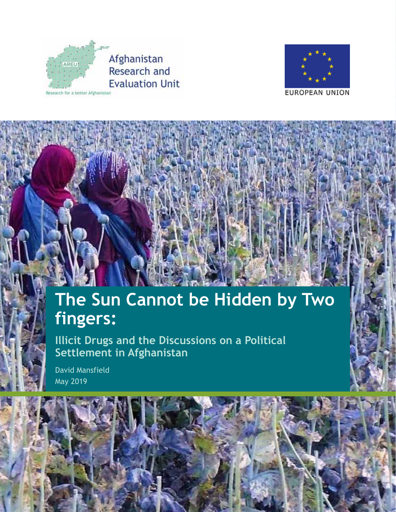



# **The Sun Cannot be Hidden by Two fingers:**

**Illicit Drugs and the Discussions on a Political Settlement in Afghanistan** 

David Mansfield May 2019

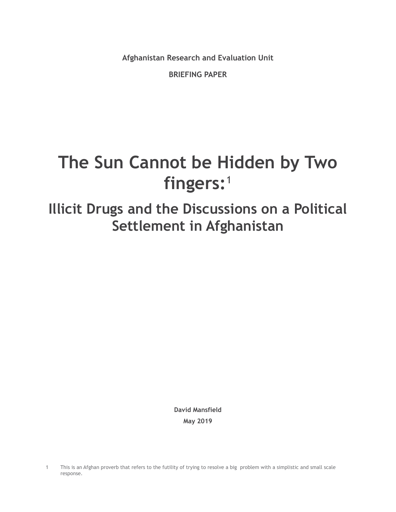**Afghanistan Research and Evaluation Unit**

**BRIEFING PAPER**

# **The Sun Cannot be Hidden by Two fingers:**<sup>1</sup>

# **Illicit Drugs and the Discussions on a Political Settlement in Afghanistan**

**David Mansfield May 2019**

<sup>1</sup> This is an Afghan proverb that refers to the futility of trying to resolve a big problem with a simplistic and small scale response.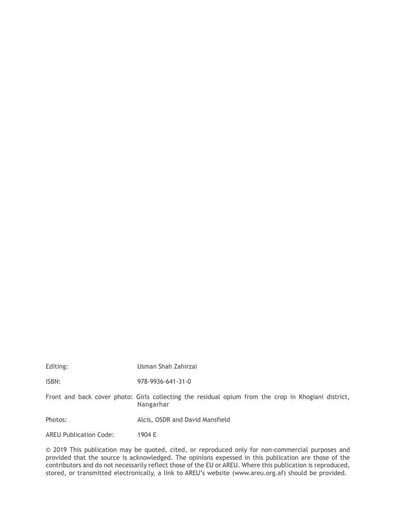| Editing:                      | Usman Shah Zahirzai                                                                                              |
|-------------------------------|------------------------------------------------------------------------------------------------------------------|
| ISBN:                         | 978-9936-641-31-0                                                                                                |
|                               | Front and back cover photo: Girls collecting the residual opium from the crop in Khogiani district,<br>Nangarhar |
| Photos:                       | Alcis, OSDR and David Mansfield                                                                                  |
| <b>AREU Publication Code:</b> | 1904 E                                                                                                           |

© 2019 This publication may be quoted, cited, or reproduced only for non-commercial purposes and provided that the source is acknowledged. The opinions expessed in this publication are those of the contributors and do not necessarily reflect those of the EU or AREU. Where this publication is reproduced, stored, or transmitted electronically, a link to AREU's website (www.areu.org.af) should be provided.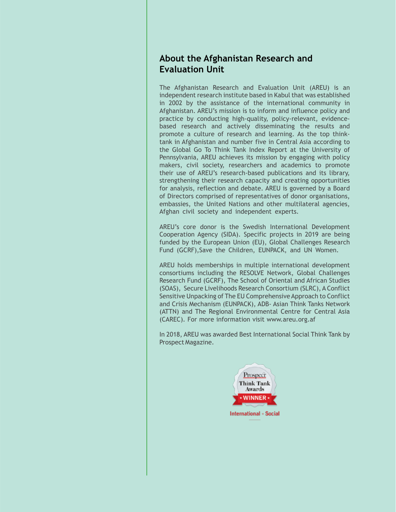#### **About the Afghanistan Research and Evaluation Unit**

The Afghanistan Research and Evaluation Unit (AREU) is an independent research institute based in Kabul that was established in 2002 by the assistance of the international community in Afghanistan. AREU's mission is to inform and influence policy and practice by conducting high-quality, policy-relevant, evidencebased research and actively disseminating the results and promote a culture of research and learning. As the top thinktank in Afghanistan and number five in Central Asia according to the Global Go To Think Tank Index Report at the University of Pennsylvania, AREU achieves its mission by engaging with policy makers, civil society, researchers and academics to promote their use of AREU's research-based publications and its library, strengthening their research capacity and creating opportunities for analysis, reflection and debate. AREU is governed by a Board of Directors comprised of representatives of donor organisations, embassies, the United Nations and other multilateral agencies, Afghan civil society and independent experts.

AREU's core donor is the Swedish International Development Cooperation Agency (SIDA). Specific projects in 2019 are being funded by the European Union (EU), Global Challenges Research Fund (GCRF),Save the Children, EUNPACK, and UN Women.

AREU holds memberships in multiple international development consortiums including the RESOLVE Network, Global Challenges Research Fund (GCRF), The School of Oriental and African Studies (SOAS), Secure Livelihoods Research Consortium (SLRC), A Conflict Sensitive Unpacking of The EU Comprehensive Approach to Conflict and Crisis Mechanism (EUNPACK), ADB- Asian Think Tanks Network (ATTN) and The Regional Environmental Centre for Central Asia (CAREC). For more information visit www.areu.org.af

In 2018, AREU was awarded Best International Social Think Tank by Prospect Magazine.

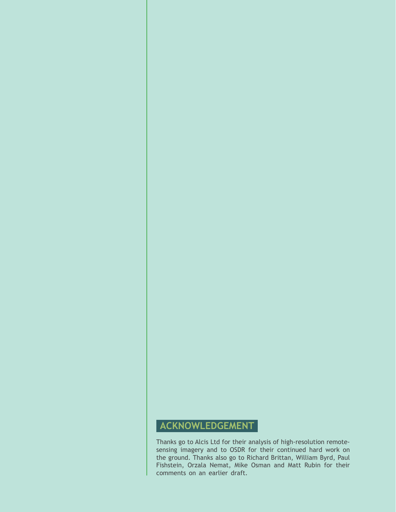### <span id="page-5-0"></span>**ACKNOWLEDGEMENT**

Thanks go to Alcis Ltd for their analysis of high-resolution remotesensing imagery and to OSDR for their continued hard work on the ground. Thanks also go to Richard Brittan, William Byrd, Paul Fishstein, Orzala Nemat, Mike Osman and Matt Rubin for their comments on an earlier draft.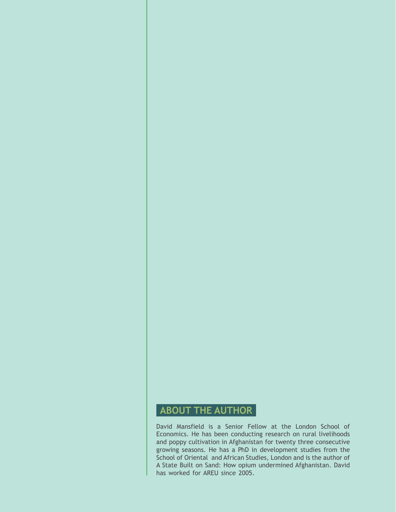#### <span id="page-6-0"></span>**ABOUT THE AUTHOR**

David Mansfield is a Senior Fellow at the London School of Economics. He has been conducting research on rural livelihoods and poppy cultivation in Afghanistan for twenty three consecutive growing seasons. He has a PhD in development studies from the School of Oriental and African Studies, London and is the author of A State Built on Sand: How opium undermined Afghanistan. David has worked for AREU since 2005.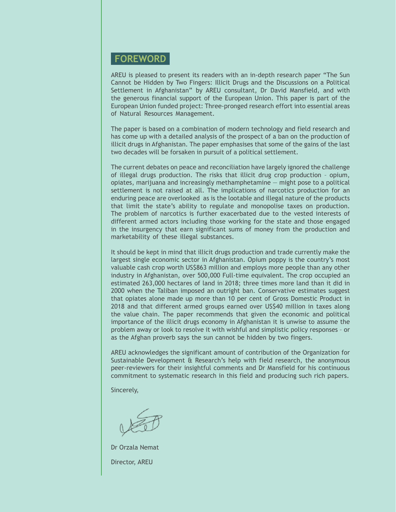#### <span id="page-7-0"></span>**FOREWORD**

AREU is pleased to present its readers with an in-depth research paper "The Sun Cannot be Hidden by Two Fingers: Illicit Drugs and the Discussions on a Political Settlement in Afghanistan" by AREU consultant, Dr David Mansfield, and with the generous financial support of the European Union. This paper is part of the European Union funded project: Three-pronged research effort into essential areas of Natural Resources Management.

The paper is based on a combination of modern technology and field research and has come up with a detailed analysis of the prospect of a ban on the production of illicit drugs in Afghanistan. The paper emphasises that some of the gains of the last two decades will be forsaken in pursuit of a political settlement.

The current debates on peace and reconciliation have largely ignored the challenge of illegal drugs production. The risks that illicit drug crop production – opium, opiates, marijuana and increasingly methamphetamine — might pose to a political settlement is not raised at all. The implications of narcotics production for an enduring peace are overlooked as is the lootable and illegal nature of the products that limit the state's ability to regulate and monopolise taxes on production. The problem of narcotics is further exacerbated due to the vested interests of different armed actors including those working for the state and those engaged in the insurgency that earn significant sums of money from the production and marketability of these illegal substances.

It should be kept in mind that illicit drugs production and trade currently make the largest single economic sector in Afghanistan. Opium poppy is the country's most valuable cash crop worth US\$863 million and employs more people than any other industry in Afghanistan, over 500,000 Full-time equivalent. The crop occupied an estimated 263,000 hectares of land in 2018; three times more land than it did in 2000 when the Taliban imposed an outright ban. Conservative estimates suggest that opiates alone made up more than 10 per cent of Gross Domestic Product in 2018 and that different armed groups earned over US\$40 million in taxes along the value chain. The paper recommends that given the economic and political importance of the illicit drugs economy in Afghanistan it is unwise to assume the problem away or look to resolve it with wishful and simplistic policy responses – or as the Afghan proverb says the sun cannot be hidden by two fingers.

AREU acknowledges the significant amount of contribution of the Organization for Sustainable Development & Research's help with field research, the anonymous peer-reviewers for their insightful comments and Dr Mansfield for his continuous commitment to systematic research in this field and producing such rich papers.

Sincerely,

Dr Orzala Nemat Director, AREU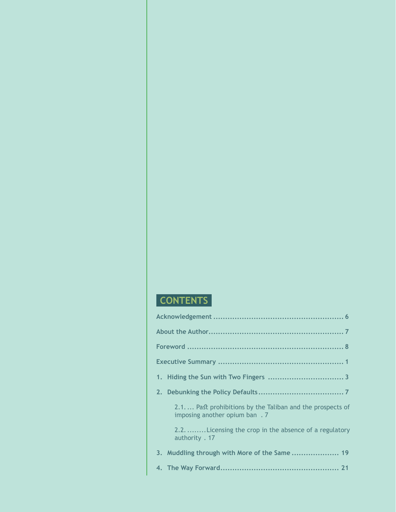## **CONTENTS**

| 2.1 Past prohibitions by the Taliban and the prospects of<br>imposing another opium ban. 7 |
|--------------------------------------------------------------------------------------------|
| 2.2. Licensing the crop in the absence of a regulatory<br>authority . 17                   |
| 3. Muddling through with More of the Same  19                                              |
|                                                                                            |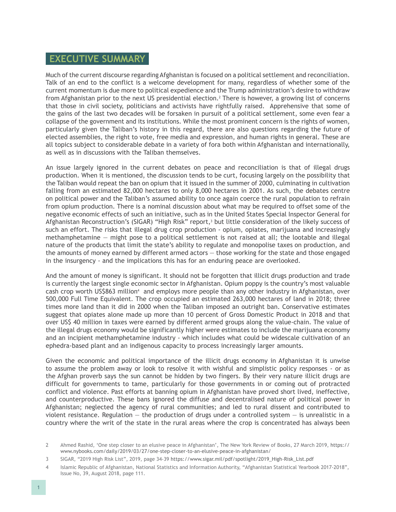#### <span id="page-9-0"></span>**EXECUTIVE SUMMARY**

Much of the current discourse regarding Afghanistan is focused on a political settlement and reconciliation. Talk of an end to the conflict is a welcome development for many, regardless of whether some of the current momentum is due more to political expedience and the Trump administration's desire to withdraw from Afghanistan prior to the next US presidential election.<sup>2</sup> There is however, a growing list of concerns that those in civil society, politicians and activists have rightfully raised. Apprehensive that some of the gains of the last two decades will be forsaken in pursuit of a political settlement, some even fear a collapse of the government and its institutions. While the most prominent concern is the rights of women, particularly given the Taliban's history in this regard, there are also questions regarding the future of elected assemblies, the right to vote, free media and expression, and human rights in general. These are all topics subject to considerable debate in a variety of fora both within Afghanistan and internationally, as well as in discussions with the Taliban themselves.

An issue largely ignored in the current debates on peace and reconciliation is that of illegal drugs production. When it is mentioned, the discussion tends to be curt, focusing largely on the possibility that the Taliban would repeat the ban on opium that it issued in the summer of 2000, culminating in cultivation falling from an estimated 82,000 hectares to only 8,000 hectares in 2001. As such, the debates centre on political power and the Taliban's assumed ability to once again coerce the rural population to refrain from opium production. There is a nominal discussion about what may be required to offset some of the negative economic effects of such an initiative, such as in the United States Special Inspector General for Afghanistan Reconstruction's (SIGAR) "High Risk" report,<sup>3</sup> but little consideration of the likely success of such an effort. The risks that illegal drug crop production - opium, opiates, marijuana and increasingly methamphetamine — might pose to a political settlement is not raised at all; the lootable and illegal nature of the products that limit the state's ability to regulate and monopolise taxes on production, and the amounts of money earned by different armed actors — those working for the state and those engaged in the insurgency - and the implications this has for an enduring peace are overlooked.

And the amount of money is significant. It should not be forgotten that illicit drugs production and trade is currently the largest single economic sector in Afghanistan. Opium poppy is the country's most valuable cash crop worth US\$863 million<sup>4</sup> and employs more people than any other industry in Afghanistan, over 500,000 Full Time Equivalent. The crop occupied an estimated 263,000 hectares of land in 2018; three times more land than it did in 2000 when the Taliban imposed an outright ban. Conservative estimates suggest that opiates alone made up more than 10 percent of Gross Domestic Product in 2018 and that over US\$ 40 million in taxes were earned by different armed groups along the value-chain. The value of the illegal drugs economy would be significantly higher were estimates to include the marijuana economy and an incipient methamphetamine industry - which includes what could be widescale cultivation of an ephedra-based plant and an indigenous capacity to process increasingly larger amounts.

Given the economic and political importance of the illicit drugs economy in Afghanistan it is unwise to assume the problem away or look to resolve it with wishful and simplistic policy responses - or as the Afghan proverb says the sun cannot be hidden by two fingers. By their very nature illicit drugs are difficult for governments to tame, particularly for those governments in or coming out of protracted conflict and violence. Past efforts at banning opium in Afghanistan have proved short lived, ineffective, and counterproductive. These bans ignored the diffuse and decentralised nature of political power in Afghanistan; neglected the agency of rural communities; and led to rural dissent and contributed to violent resistance. Regulation  $-$  the production of drugs under a controlled system  $-$  is unrealistic in a country where the writ of the state in the rural areas where the crop is concentrated has always been

<sup>2</sup> Ahmed Rashid, 'One step closer to an elusive peace in Afghanistan', The New York Review of Books, 27 March 2019, [https://](https://www.nybooks.com/daily/2019/03/27/one-step-closer-to-an-elusive-peace-in-afghanistan/) [www.nybooks.com/daily/2019/03/27/one-step-closer-to-an-elusive-peace-in-afghanistan/](https://www.nybooks.com/daily/2019/03/27/one-step-closer-to-an-elusive-peace-in-afghanistan/)

<sup>3</sup> SIGAR, "2019 High Risk List", 2019, page 34-39 [https://www.sigar.mil/pdf/spotlight/2019\\_High-Risk\\_List.pdf](https://www.sigar.mil/pdf/spotlight/2019_High-Risk_List.pdf)

<sup>4</sup> Islamic Republic of Afghanistan, National Statistics and Information Authority, "Afghanistan Statistical Yearbook 2017-2018", Issue No, 39, August 2018, page 111.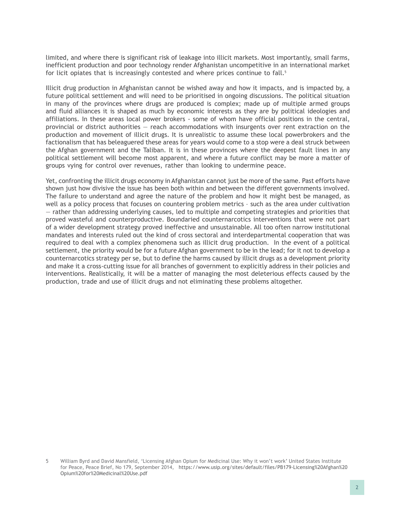limited, and where there is significant risk of leakage into illicit markets. Most importantly, small farms, inefficient production and poor technology render Afghanistan uncompetitive in an international market for licit opiates that is increasingly contested and where prices continue to  $fall.^5$ 

Illicit drug production in Afghanistan cannot be wished away and how it impacts, and is impacted by, a future political settlement and will need to be prioritised in ongoing discussions. The political situation in many of the provinces where drugs are produced is complex; made up of multiple armed groups and fluid alliances it is shaped as much by economic interests as they are by political ideologies and affiliations. In these areas local power brokers - some of whom have official positions in the central, provincial or district authorities — reach accommodations with insurgents over rent extraction on the production and movement of illicit drugs. It is unrealistic to assume these local powerbrokers and the factionalism that has beleaguered these areas for years would come to a stop were a deal struck between the Afghan government and the Taliban. It is in these provinces where the deepest fault lines in any political settlement will become most apparent, and where a future conflict may be more a matter of groups vying for control over revenues, rather than looking to undermine peace.

Yet, confronting the illicit drugs economy in Afghanistan cannot just be more of the same. Past efforts have shown just how divisive the issue has been both within and between the different governments involved. The failure to understand and agree the nature of the problem and how it might best be managed, as well as a policy process that focuses on countering problem metrics – such as the area under cultivation — rather than addressing underlying causes, led to multiple and competing strategies and priorities that proved wasteful and counterproductive. Boundaried counternarcotics interventions that were not part of a wider development strategy proved ineffective and unsustainable. All too often narrow institutional mandates and interests ruled out the kind of cross sectoral and interdepartmental cooperation that was required to deal with a complex phenomena such as illicit drug production. In the event of a political settlement, the priority would be for a future Afghan government to be in the lead; for it not to develop a counternarcotics strategy per se, but to define the harms caused by illicit drugs as a development priority and make it a cross-cutting issue for all branches of government to explicitly address in their policies and interventions. Realistically, it will be a matter of managing the most deleterious effects caused by the production, trade and use of illicit drugs and not eliminating these problems altogether.

<sup>5</sup> William Byrd and David Mansfield, 'Licensing Afghan Opium for Medicinal Use: Why it won't work' United States Institute for Peace, Peace Brief, No 179, September 2014, [https://www.usip.org/sites/default/files/PB179-Licensing%20Afghan%20](https://www.usip.org/sites/default/files/PB179-Licensing%20Afghan%20Opium%20for%20Medicinal%20Use.pdf) [Opium%20for%20Medicinal%20Use.pdf](https://www.usip.org/sites/default/files/PB179-Licensing%20Afghan%20Opium%20for%20Medicinal%20Use.pdf)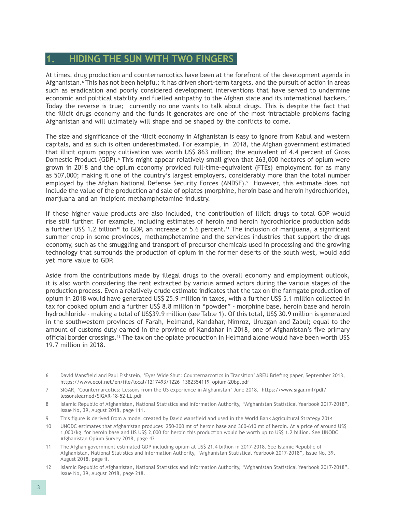#### <span id="page-11-0"></span>**1. HIDING THE SUN WITH TWO FINGERS**

At times, drug production and counternarcotics have been at the forefront of the development agenda in Afghanistan.<sup>6</sup> This has not been helpful; it has driven short-term targets, and the pursuit of action in areas such as eradication and poorly considered development interventions that have served to undermine economic and political stability and fuelled antipathy to the Afghan state and its international backers.<sup>7</sup> Today the reverse is true; currently no one wants to talk about drugs. This is despite the fact that the illicit drugs economy and the funds it generates are one of the most intractable problems facing Afghanistan and will ultimately will shape and be shaped by the conflicts to come.

The size and significance of the illicit economy in Afghanistan is easy to ignore from Kabul and western capitals, and as such is often underestimated. For example, in 2018, the Afghan government estimated that illicit opium poppy cultivation was worth US\$ 863 million; the equivalent of 4.4 percent of Gross Domestic Product (GDP).<sup>8</sup> This might appear relatively small given that 263,000 hectares of opium were grown in 2018 and the opium economy provided full-time-equivalent (FTEs) employment for as many as 507,000; making it one of the country's largest employers, considerably more than the total number employed by the Afghan National Defense Security Forces (ANDSF).<sup>9</sup> However, this estimate does not include the value of the production and sale of opiates (morphine, heroin base and heroin hydrochloride), marijuana and an incipient methamphetamine industry.

If these higher value products are also included, the contribution of illicit drugs to total GDP would rise still further. For example, including estimates of heroin and heroin hydrochloride production adds a further US\$ 1.2 billion<sup>10</sup> to GDP, an increase of 5.6 percent.<sup>11</sup> The inclusion of marijuana, a significant summer crop in some provinces, methamphetamine and the services industries that support the drugs economy, such as the smuggling and transport of precursor chemicals used in processing and the growing technology that surrounds the production of opium in the former deserts of the south west, would add yet more value to GDP.

Aside from the contributions made by illegal drugs to the overall economy and employment outlook, it is also worth considering the rent extracted by various armed actors during the various stages of the production process. Even a relatively crude estimate indicates that the tax on the farmgate production of opium in 2018 would have generated US\$ 25.9 million in taxes, with a further US\$ 5.1 million collected in tax for cooked opium and a further US\$ 8.8 million in "powder" - morphine base, heroin base and heroin hydrochloride - making a total of US\$39.9 million (see Table 1). Of this total, US\$ 30.9 million is generated in the southwestern provinces of Farah, Helmand, Kandahar, Nimroz, Uruzgan and Zabul; equal to the amount of customs duty earned in the province of Kandahar in 2018, one of Afghanistan's five primary official border crossings.12 The tax on the opiate production in Helmand alone would have been worth US\$ 19.7 million in 2018.

- 6 David Mansfield and Paul Fishstein, 'Eyes Wide Shut: Counternarcotics in Transition' AREU Briefing paper, September 2013, [https://www.ecoi.net/en/file/local/1217493/1226\\_1382354119\\_opium-20bp.pdf](https://www.ecoi.net/en/file/local/1217493/1226_1382354119_opium-20bp.pdf)
- 7 SIGAR, 'Counternarcotics: Lessons from the US experience in Afghanistan' June 2018, [https://www.sigar.mil/pdf/](https://www.sigar.mil/pdf/lessonslearned/SIGAR-18-52-LL.pdf) [lessonslearned/SIGAR-18-52-LL.pdf](https://www.sigar.mil/pdf/lessonslearned/SIGAR-18-52-LL.pdf)
- 8 Islamic Republic of Afghanistan, National Statistics and Information Authority, "Afghanistan Statistical Yearbook 2017-2018", Issue No, 39, August 2018, page 111.
- 9 This figure is derived from a model created by David Mansfield and used in the World Bank Agricultural Strategy 2014
- 10 UNODC estimates that Afghanistan produces 250-300 mt of heroin base and 360-610 mt of heroin. At a price of around US\$ 1,000/kg for heroin base and US US\$ 2,000 for heroin this production would be worth up to US\$ 1.2 billion. See UNODC Afghanistan Opium Survey 2018, page 43
- 11 The Afghan government estimated GDP including opium at US\$ 21.4 billion in 2017-2018. See Islamic Republic of Afghanistan, National Statistics and Information Authority, "Afghanistan Statistical Yearbook 2017-2018", Issue No, 39, August 2018, page ii.
- 12 Islamic Republic of Afghanistan, National Statistics and Information Authority, "Afghanistan Statistical Yearbook 2017-2018", Issue No, 39, August 2018, page 218.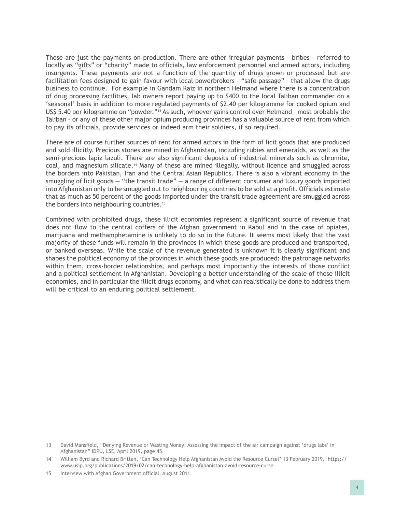These are just the payments on production. There are other irregular payments – bribes – referred to locally as "gifts" or "charity" made to officials, law enforcement personnel and armed actors, including insurgents. These payments are not a function of the quantity of drugs grown or processed but are facilitation fees designed to gain favour with local powerbrokers – "safe passage" – that allow the drugs business to continue. For example in Gandam Raiz in northern Helmand where there is a concentration of drug processing facilities, lab owners report paying up to \$400 to the local Taliban commander on a 'seasonal' basis in addition to more regulated payments of \$2.40 per kilogramme for cooked opium and US\$ 5.40 per kilogramme on "powder."<sup>13</sup> As such, whoever gains control over Helmand - most probably the Taliban – or any of these other major opium producing provinces has a valuable source of rent from which to pay its officials, provide services or indeed arm their soldiers, if so required.

There are of course further sources of rent for armed actors in the form of licit goods that are produced and sold illicitly. Precious stones are mined in Afghanistan, including rubies and emeralds, as well as the semi-precious lapiz lazuli. There are also significant deposits of industrial minerals such as chromite, coal, and magnesium silicate.14 Many of these are mined illegally, without licence and smuggled across the borders into Pakistan, Iran and the Central Asian Republics. There is also a vibrant economy in the smuggling of licit goods – "the transit trade" – a range of different consumer and luxury goods imported into Afghanistan only to be smuggled out to neighbouring countries to be sold at a profit. Officials estimate that as much as 50 percent of the goods imported under the transit trade agreement are smuggled across the borders into neighbouring countries.<sup>15</sup>

Combined with prohibited drugs, these illicit economies represent a significant source of revenue that does not flow to the central coffers of the Afghan government in Kabul and in the case of opiates, marijuana and methamphetamine is unlikely to do so in the future. It seems most likely that the vast majority of these funds will remain in the provinces in which these goods are produced and transported, or banked overseas. While the scale of the revenue generated is unknown it is clearly significant and shapes the political economy of the provinces in which these goods are produced: the patronage networks within them, cross-border relationships, and perhaps most importantly the interests of those conflict and a political settlement in Afghanistan. Developing a better understanding of the scale of these illicit economies, and in particular the illicit drugs economy, and what can realistically be done to address them will be critical to an enduring political settlement.

<sup>13</sup> David Mansfield, "Denying Revenue or Wasting Money: Assessing the impact of the air campaign against 'drugs labs' in Afghanistan" IDPU, LSE, April 2019, page 45.

<sup>14</sup> William Byrd and Richard Brittan, 'Can Technology Help Afghanistan Avoid the Resource Curse?' 13 February 2019, [https://](https://www.usip.org/publications/2019/02/can-technology-help-afghanistan-avoid-resource-curse) [www.usip.org/publications/2019/02/can-technology-help-afghanistan-avoid-resource-curse](https://www.usip.org/publications/2019/02/can-technology-help-afghanistan-avoid-resource-curse)

<sup>15</sup> Interview with Afghan Government official, August 2011.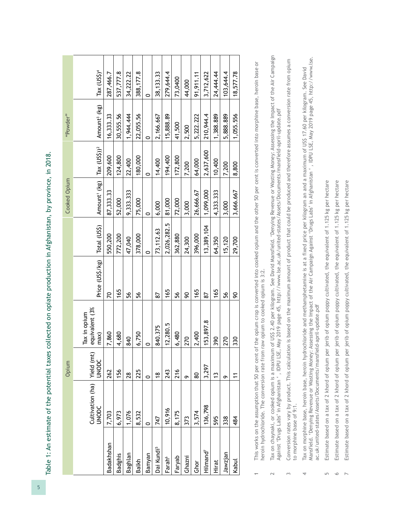Table 1: An estimate of the potential taxes collected on opiate production in Afghanistan, by province, in 2018. Table 1: An estimate of the potential taxes collected on opiate production in Afghanistan, by province, in 2018.

| Amount' (kg)   Tax (US\$)) <sup>2</sup><br>87, 333. 33<br>9,333.333<br>52,000<br>75,000<br>72,000<br>81,000<br>3,000<br>6,000<br>0   | Total (US\$)<br>550,200<br>Price (US\$/kg)<br>20 | equivalent (3%<br>Tax in opium |
|--------------------------------------------------------------------------------------------------------------------------------------|--------------------------------------------------|--------------------------------|
| 2,026,282.5<br>73,112.63<br>772,200<br>362,880<br>378,000<br>24,300<br>47,040<br>$\circ$<br>165<br>165<br>56<br>56<br>56<br>90<br>87 | 7,860                                            | Cultivation (ha)   Yield (mt)  |
|                                                                                                                                      |                                                  |                                |
|                                                                                                                                      |                                                  | 1,680                          |
|                                                                                                                                      |                                                  | 840                            |
|                                                                                                                                      |                                                  | 5,750                          |
|                                                                                                                                      |                                                  |                                |
|                                                                                                                                      |                                                  | 840.375                        |
|                                                                                                                                      |                                                  | 2,280.5                        |
|                                                                                                                                      |                                                  | 6,480                          |
|                                                                                                                                      |                                                  | 270                            |
| 26,666.67<br>396,000<br>165                                                                                                          |                                                  | 2,400                          |
| 1,099,000<br>13,389,104<br>87                                                                                                        |                                                  | 153,897.8                      |
| 4,333.333<br>64,350<br>165                                                                                                           |                                                  | 390                            |
| 3,000<br>15,120<br>56                                                                                                                |                                                  | 270                            |
| 3,666.667<br>29,700<br>90                                                                                                            |                                                  | 330                            |

 This works on the assumption that 50 per cent of the opium crop is converted into cooked opium and the other 50 per cent is converted into morphine base, heroin base or This works on the assumption that 50 per cent of the opium crop is converted into cooked opium and the other 50 per cent is converted into morphine base, heroin base or heroin hydrochloride. The conversion rate from raw opium to cooked opium is 3:2. heroin hydrochloride. The conversion rate from raw opium to cooked opium is 3:2.

 $\overline{1}$ 

 Tax on chaynaki, or cooked opium is a maximum of US\$ 2.40 per kilogram. See David Mansfield. 'Denying Revenue or Wasting Money: Assessing the Impact of the Air Campaign Tax on chaynaki, or cooked opium is a maximum of US\$ 2.40 per kilogram. See David Mansfield. 'Denying Revenue or Wasting Money: Assessing the Impact of the Air Campaign<br>Against 'Drugs Labs' in Afghanistan ' , IDPU LSE, May Against 'Drugs Labs' in Afghanistan ' , IDPU LSE, May 2019 page 45, http://www.lse.ac.uk/united-states/Assets/Documents/mansfield-april-update.pdf  $\sim$ 

 Conversion rates vary by product. This calculation is based on the maximum amount of product that could be produced and therefore assumes a conversion rate from opium Conversion rates vary by product. This calculation is based on the maximum amount of product that could be produced and therefore assumes a conversion rate from opium to morphine base of 9:1. to morphine base of 9:1.  $\sim$ 

Tax on morphine base, heroin base, heroin hydrochloride and methamphetamine is at a fixed price per kilogram an and a maximum of US\$ 17.60 per kilogram. See David<br>Mansfield. 'Denying Revenue or Wasting Money: Assessing the Mansfield. 'Denying Revenue or Wasting Money: Assessing the Impact of the Air Campaign Against 'Drugs Labs' in Afghanistan ' , IDPU LSE, May 2019 page 45, http://www.lse. Tax on morphine base, heroin base, heroin hydrochloride and methamphetamine is at a fixed price per kilogram an and a maximum of US\$ 17.60 per kilogram. See David ac.uk/united-states/Assets/Documents/mansfield-april-update.pdf ac.uk/united-states/Assets/Documents/mansfield-april-update.pdf 4

 Estimate based on a tax of 2 khord of opium per jerib of opium poppy cultivated, the equivalent of 1.125 kg per hectare Estimate based on a tax of 2 khord of opium per jerib of opium poppy cultivated, the equivalent of 1.125 kg per hectare  $\overline{5}$ 

 Estimate based on a tax of 2 khord of opium per jerib of opium poppy cultivated, the equivalent of 1.125 kg per hectare Estimate based on a tax of 2 khord of opium per jerib of opium poppy cultivated, the equivalent of 1.125 kg per hectare  $\circ$ 

 Estimate based on a tax of 2 khord of opium per jerib of opium poppy cultivated, the equivalent of 1.125 kg per hectare Estimate based on a tax of 2 khord of opium per jerib of opium poppy cultivated, the equivalent of 1.125 kg per hectare

 $\overline{2}$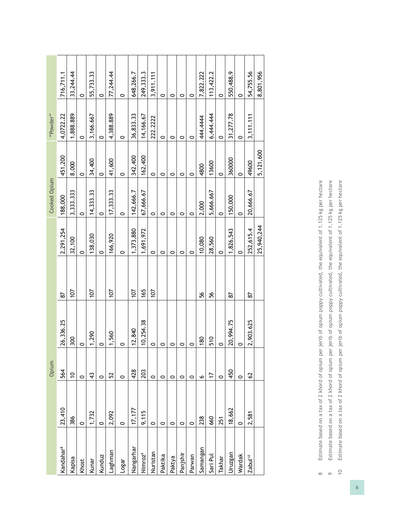|              | 716,711.1             | 33,244.44   | $\circ$ | 55,733.33   | $\circ$ | 77,244.44 | 0       | 648,266.7 | 249, 333.3          | 3,911.111 | $\circ$ | 0       | 0        | 0       | 7,822.222 | 113,422.2 | $\circ$ | 550,488.9       | $\circ$ | 54,755.56           | 8,801,956  |
|--------------|-----------------------|-------------|---------|-------------|---------|-----------|---------|-----------|---------------------|-----------|---------|---------|----------|---------|-----------|-----------|---------|-----------------|---------|---------------------|------------|
| "Powder"     | 4,0722.22             | 1,888.889   | $\circ$ | 3,166.667   | 0       | 4,388.889 | 0       | 36,833.33 | 14,166.67           | 222.2222  | $\circ$ | $\circ$ | 0        | 0       | 444.444   | 6,444.444 | 0       | 31,277.78       | $\circ$ | 3,111,111           |            |
|              | 451,200               | 8,000       | $\circ$ | 34,400      | $\circ$ | 41,600    | 0       | 342,400   | 162,400             | $\circ$   | 0       | 0       | 0        | $\circ$ | 4800      | 13600     | $\circ$ | 360000          | $\circ$ | 49600               | 5,121,600  |
| Cooked Opium | 188,000               | 3,333.333   | 0       | 14, 333. 33 | 0       | 17,333.33 | $\circ$ | 142,666.7 | 67,666.67           | $\circ$   | 0       | $\circ$ | 0        | $\circ$ | 2,000     | 5,666.667 | $\circ$ | 150,000         | $\circ$ | 20,666.67           |            |
|              | 2,291,254             | 32,100      | $\circ$ | 138,030     | $\circ$ | 166,920   | 0       | 1,373,880 | 1,691,972           | $\circ$   | 0       | 0       | 0        | $\circ$ | 10,080    | 28,560    | 0       | 1,826,543       | $\circ$ | 252,615.4           | 25,940,244 |
|              |                       | 107         |         | 107         |         | 107       |         | 107       | 165                 | 107       |         |         |          |         |           |           |         |                 |         |                     |            |
|              | 22<br>26,336.25       | 300         | $\circ$ | 1,290       | $\circ$ | 1,560     | $\circ$ | 12,840    | 10,254.38           | $\circ$   | $\circ$ | $\circ$ | $\circ$  | $\circ$ | 56<br>180 | 56<br>510 | $\circ$ | 87<br>20,994.75 | $\circ$ | 22<br>2,903.625     |            |
| Opium        | 564                   | $\tilde{a}$ | $\circ$ | 43          | $\circ$ | 52        | $\circ$ | 428       | 203                 | $\circ$   | 0       | 0       | 0        | $\circ$ | $\bullet$ | 17        | $\circ$ | 450             | $\circ$ | 2                   |            |
|              | 23,410                | 386         | $\circ$ | 1,732       | 0       | 2,092     | $\circ$ | 17,177    | 9,115               | 0         | 0       | $\circ$ | $\circ$  | $\circ$ | 238       | 660       | 251     | 18,662          | $\circ$ | 2,581               |            |
|              | Kandahar <sup>8</sup> | Kapisa      | Khost   | Kunar       | Kunduz  | Laghman   | Logar   | Nangarhar | Nimroz <sup>9</sup> | Nuristan  | Paktika | Paktya  | Panjshir | Parwan  | Samangan  | Sari Pul  | Takhar  | Jruzgan         | Wardak  | Zabul <sup>10</sup> |            |

| CTALA<br>J<br>Ligi<br>$\overline{\phantom{a}}$<br>$1.125$ kg per he<br>.<br>ג<br>$\frac{1}{2}$<br>$h \cap \text{min}$<br>ī)<br>D<br>シャキ ていちこう<br>)<br>)<br>)<br>I<br>on a tax of 2 khord of opium per jerib of opium r<br>)<br>J<br>į | CTALA<br>J<br>or 1.125 kg per her <sup>+-</sup><br>$h \sim \sim 1$<br>こし コー・コリー<br>ユニュー てんきょうきょう<br>;<br>;<br>į<br>j<br>va mina ta 1 hand an man man man ta 1 hand 1 hand ta 1 hand<br> <br> <br> <br> <br> <br>יישט וט טו וסך  סק יייי<br>- במרכז<br>- יוני המרכז<br>$\vdots$<br>$2$ ID YDI 4<br>)<br>J<br>j |
|---------------------------------------------------------------------------------------------------------------------------------------------------------------------------------------------------------------------------------------|---------------------------------------------------------------------------------------------------------------------------------------------------------------------------------------------------------------------------------------------------------------------------------------------------------------|
| Ï<br>$-1.5$<br>ミュロニュー<br>ü                                                                                                                                                                                                            | ú                                                                                                                                                                                                                                                                                                             |
| $\infty$                                                                                                                                                                                                                              | Ō                                                                                                                                                                                                                                                                                                             |

Estimate based on a tax of 2 khord of opium per jerib of opium poppy cultivated, the equivalent of 1.125 kg per hectare<br>Estimate based on a tax of 2 khord of opium per jerib of opium poppy cultivated, the equivalent of 1.1 10 Estimate based on a tax of 2 khord of opium per jerib of opium poppy cultivated, the equivalent of 1.125 kg per hectare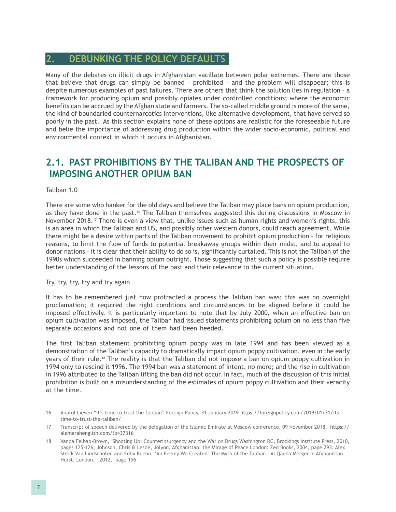#### <span id="page-15-0"></span>**2. DEBUNKING THE POLICY DEFAULTS**

Many of the debates on illicit drugs in Afghanistan vacillate between polar extremes. There are those that believe that drugs can simply be banned – prohibited – and the problem will disappear; this is despite numerous examples of past failures. There are others that think the solution lies in regulation – a framework for producing opium and possibly opiates under controlled conditions; where the economic benefits can be accrued by the Afghan state and farmers. The so-called middle ground is more of the same, the kind of boundaried counternarcotics interventions, like alternative development, that have served so poorly in the past. As this section explains none of these options are realistic for the foreseeable future and belie the importance of addressing drug production within the wider socio-economic, political and environmental context in which it occurs in Afghanistan.

#### **2.1. PAST PROHIBITIONS BY THE TALIBAN AND THE PROSPECTS OF IMPOSING ANOTHER OPIUM BAN**

Taliban 1.0

There are some who hanker for the old days and believe the Taliban may place bans on opium production, as they have done in the past.<sup>16</sup> The Taliban themselves suggested this during discussions in Moscow in November 2018.17 There is even a view that, unlike issues such as human rights and women's rights, this is an area in which the Taliban and US, and possibly other western donors, could reach agreement. While there might be a desire within parts of the Taliban movement to prohibit opium production – for religious reasons, to limit the flow of funds to potential breakaway groups within their midst, and to appeal to donor nations – it is clear that their ability to do so is, significantly curtailed. This is not the Taliban of the 1990s which succeeded in banning opium outright. Those suggesting that such a policy is possible require better understanding of the lessons of the past and their relevance to the current situation.

Try, try, try, try and try again

It has to be remembered just how protracted a process the Taliban ban was; this was no overnight proclamation; it required the right conditions and circumstances to be aligned before it could be imposed effectively. It is particularly important to note that by July 2000, when an effective ban on opium cultivation was imposed, the Taliban had issued statements prohibiting opium on no less than five separate occasions and not one of them had been heeded.

The first Taliban statement prohibiting opium poppy was in late 1994 and has been viewed as a demonstration of the Taliban's capacity to dramatically impact opium poppy cultivation, even in the early years of their rule.<sup>18</sup> The reality is that the Taliban did not impose a ban on opium poppy cultivation in 1994 only to rescind it 1996. The 1994 ban was a statement of intent, no more; and the rise in cultivation in 1996 attributed to the Taliban lifting the ban did not occur. In fact, much of the discussion of this initial prohibition is built on a misunderstanding of the estimates of opium poppy cultivation and their veracity at the time.

- 16 Anatol Lieven "It's time to trust the Taliban" Foreign Policy, 31 January 2019 [https://foreignpolicy.com/2019/01/31/its](https://foreignpolicy.com/2019/01/31/its-time-to-trust-the-taliban/)[time-to-trust-the-taliban/](https://foreignpolicy.com/2019/01/31/its-time-to-trust-the-taliban/)
- 17 Transcript of speech delivered by the delegation of the Islamic Emirate at Moscow conference, 09 November 2018, [https://](https://alemarahenglish.com/?p=37316) [alemarahenglish.com/?p=37316](https://alemarahenglish.com/?p=37316)
- 18 Vanda Felbab-Brown, Shooting Up: Counterinsurgency and the War on Drugs Washington DC, Brookings Institute Press, 2010, pages 125-126; Johnson, Chris & Leslie, Jolyon, Afghanistan: the Mirage of Peace London: Zed Books, 2004, page 293; Alex Strick Van Lindschoten and Felix Kuehn, 'An Enemy We Created: The Myth of the Taliban - Al Qaeda Merger in Afghanistan, Hurst: London, 2012, page 156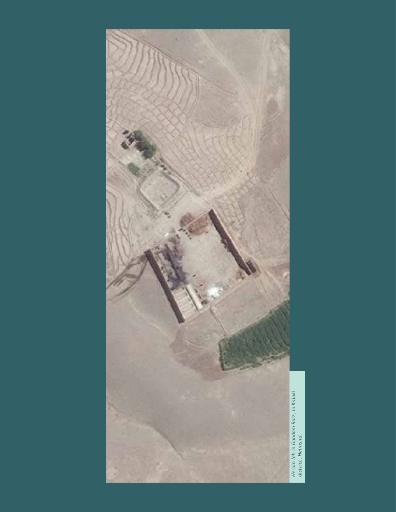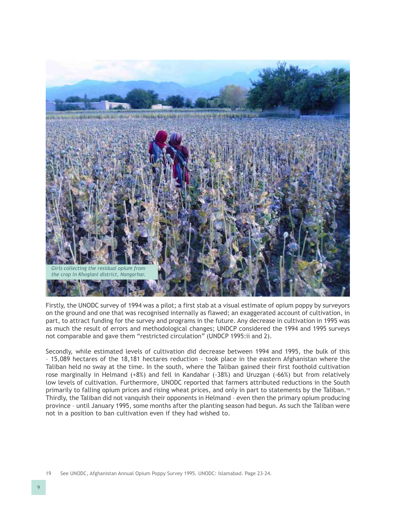

Firstly, the UNODC survey of 1994 was a pilot; a first stab at a visual estimate of opium poppy by surveyors on the ground and one that was recognised internally as flawed; an exaggerated account of cultivation, in part, to attract funding for the survey and programs in the future. Any decrease in cultivation in 1995 was as much the result of errors and methodological changes; UNDCP considered the 1994 and 1995 surveys not comparable and gave them "restricted circulation" (UNDCP 1995:ii and 2).

Secondly, while estimated levels of cultivation did decrease between 1994 and 1995, the bulk of this – 15,089 hectares of the 18,181 hectares reduction - took place in the eastern Afghanistan where the Taliban held no sway at the time. In the south, where the Taliban gained their first foothold cultivation rose marginally in Helmand (+8%) and fell in Kandahar (-38%) and Uruzgan (-66%) but from relatively low levels of cultivation. Furthermore, UNODC reported that farmers attributed reductions in the South primarily to falling opium prices and rising wheat prices, and only in part to statements by the Taliban.<sup>19</sup> Thirdly, the Taliban did not vanquish their opponents in Helmand – even then the primary opium producing province – until January 1995, some months after the planting season had begun. As such the Taliban were not in a position to ban cultivation even if they had wished to.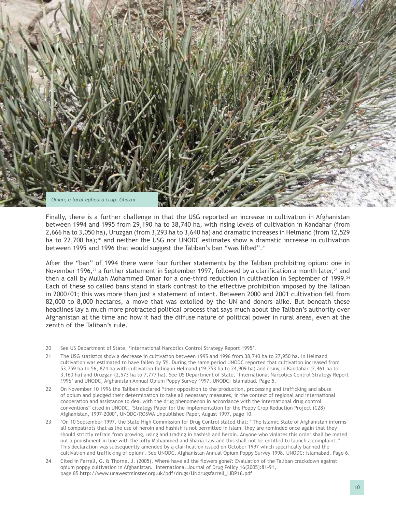

Finally, there is a further challenge in that the USG reported an increase in cultivation in Afghanistan between 1994 and 1995 from 29,190 ha to 38,740 ha, with rising levels of cultivation in Kandahar (from 2,666 ha to 3,050 ha), Uruzgan (from 3,293 ha to 3,640 ha) and dramatic increases in Helmand (from 12,529 ha to 22,700 ha);<sup>20</sup> and neither the USG nor UNODC estimates show a dramatic increase in cultivation between 1995 and 1996 that would suggest the Taliban's ban "was lifted".21

After the "ban" of 1994 there were four further statements by the Taliban prohibiting opium: one in November 1996,<sup>22</sup> a further statement in September 1997, followed by a clarification a month later,<sup>23</sup> and then a call by Mullah Mohammed Omar for a one-third reduction in cultivation in September of 1999.<sup>24</sup> Each of these so called bans stand in stark contrast to the effective prohibition imposed by the Taliban in 2000/01; this was more than just a statement of intent. Between 2000 and 2001 cultivation fell from 82,000 to 8,000 hectares, a move that was extolled by the UN and donors alike. But beneath these headlines lay a much more protracted political process that says much about the Taliban's authority over Afghanistan at the time and how it had the diffuse nature of political power in rural areas, even at the zenith of the Taliban's rule.

- 20 See US Department of State, 'International Narcotics Control Strategy Report 1995'.
- 21 The USG statistics show a decrease in cultivation between 1995 and 1996 from 38,740 ha to 27,950 ha. In Helmand cultivation was estimated to have fallen by 5%. During the same period UNODC reported that cultivation increased from 53,759 ha to 56, 824 ha with cultivation falling in Helmand (19,753 ha to 24,909 ha) and rising in Kandahar (2,461 ha to 3,160 ha) and Uruzgan (2,573 ha to 7,777 ha). See US Department of State, 'International Narcotics Control Strategy Report 1996' and UNODC, Afghanistan Annual Opium Poppy Survey 1997. UNODC: Islamabad. Page 5.
- 22 On November 10 1996 the Taliban declared "their opposition to the production, processing and trafficking and abuse of opium and pledged their determination to take all necessary measures, in the context of regional and international cooperation and assistance to deal with the drug phenomenon in accordance with the international drug control conventions" cited in UNODC, 'Strategy Paper for the Implementation for the Poppy Crop Reduction Project (C28) Afghanistan, 1997-2000', UNODC/ROSWA Unpublished Paper, August 1997, page 10.
- 23 'On 10 September 1997, the State High Commission for Drug Control stated that: "The Islamic State of Afghanistan informs all compatriots that as the use of heroin and hashish is not permitted in Islam, they are reminded once again that they should strictly refrain from growing, using and trading in hashish and heroin. Anyone who violates this order shall be meted out a punishment in line with the lofty Mohammed and Sharia Law and this shall not be entitled to launch a complaint." This declaration was subsequently amended by a clarification issued on October 1997 which specifically banned the cultivation and trafficking of opium'. See UNODC, Afghanistan Annual Opium Poppy Survey 1998. UNODC: Islamabad. Page 6.
- 24 Cited in Farrell, G. & Thorne, J. (2005). Where have all the flowers gone?: Evaluation of the Taliban crackdown against opium poppy cultivation in Afghanistan. International Journal of Drug Policy 16(2005):81-91, page 85 [http://www.unawestminster.org.uk/pdf/drugs/UNdrugsfarrell\\_IJDP16.pdf](http://www.unawestminster.org.uk/pdf/drugs/UNdrugsfarrell_IJDP16.pdf)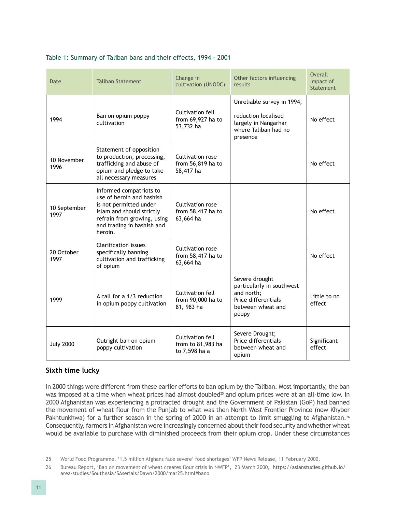| Date                 | <b>Taliban Statement</b>                                                                                                                                                            | Change in<br>cultivation (UNODC)                       | Other factors influencing<br>results                                                                           | <b>Overall</b><br>Impact of<br>Statement |
|----------------------|-------------------------------------------------------------------------------------------------------------------------------------------------------------------------------------|--------------------------------------------------------|----------------------------------------------------------------------------------------------------------------|------------------------------------------|
| 1994                 | Ban on opium poppy<br>cultivation                                                                                                                                                   | Cultivation fell<br>from 69,927 ha to<br>53,732 ha     | Unreliable survey in 1994;<br>reduction localised<br>largely in Nangarhar<br>where Taliban had no<br>presence  | No effect                                |
| 10 November<br>1996  | Statement of opposition<br>to production, processing,<br>trafficking and abuse of<br>opium and pledge to take<br>all necessary measures                                             | Cultivation rose<br>from 56,819 ha to<br>58,417 ha     |                                                                                                                | No effect                                |
| 10 September<br>1997 | Informed compatriots to<br>use of heroin and hashish<br>is not permitted under<br>Islam and should strictly<br>refrain from growing, using<br>and trading in hashish and<br>heroin. | Cultivation rose<br>from 58,417 ha to<br>63,664 ha     |                                                                                                                | No effect                                |
| 20 October<br>1997   | <b>Clarification issues</b><br>specifically banning<br>cultivation and trafficking<br>of opium                                                                                      | Cultivation rose<br>from 58,417 ha to<br>63,664 ha     |                                                                                                                | No effect                                |
| 1999                 | A call for a 1/3 reduction<br>in opium poppy cultivation                                                                                                                            | Cultivation fell<br>from 90,000 ha to<br>81, 983 ha    | Severe drought<br>particularly in southwest<br>and north;<br>Price differentials<br>between wheat and<br>poppy | Little to no<br>effect                   |
| <b>July 2000</b>     | Outright ban on opium<br>poppy cultivation                                                                                                                                          | Cultivation fell<br>from to 81,983 ha<br>to 7,598 ha a | Severe Drought;<br>Price differentials<br>between wheat and<br>opium                                           | Significant<br>effect                    |

#### Table 1: Summary of Taliban bans and their effects, 1994 - 2001

#### **Sixth time lucky**

In 2000 things were different from these earlier efforts to ban opium by the Taliban. Most importantly, the ban was imposed at a time when wheat prices had almost doubled<sup>25</sup> and opium prices were at an all-time low. In 2000 Afghanistan was experiencing a protracted drought and the Government of Pakistan (GoP) had banned the movement of wheat flour from the Punjab to what was then North West Frontier Province (now Khyber Pakhtunkhwa) for a further season in the spring of 2000 in an attempt to limit smuggling to Afghanistan.<sup>26</sup> Consequently, farmers in Afghanistan were increasingly concerned about their food security and whether wheat would be available to purchase with diminished proceeds from their opium crop. Under these circumstances

<sup>25</sup> World Food Programme, '1.5 million Afghans face severe' food shortages' WFP News Release, 11 February 2000.

<sup>26</sup> Bureau Report, 'Ban on movement of wheat creates flour crisis in NWFP', 23 March 2000, https://asianstudies.github.io/ area-studies/SouthAsia/SAserials/Dawn/2000/mar25.html#bano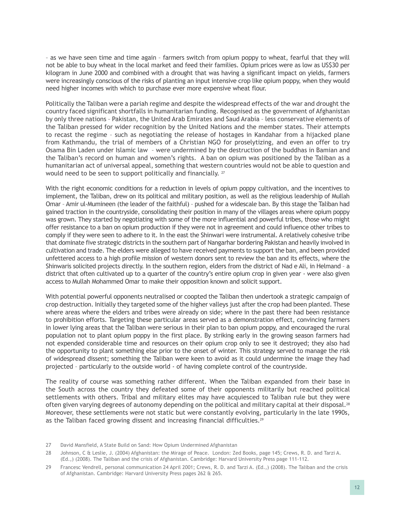– as we have seen time and time again – farmers switch from opium poppy to wheat, fearful that they will not be able to buy wheat in the local market and feed their families. Opium prices were as low as US\$30 per kilogram in June 2000 and combined with a drought that was having a significant impact on yields, farmers were increasingly conscious of the risks of planting an input intensive crop like opium poppy, when they would need higher incomes with which to purchase ever more expensive wheat flour.

Politically the Taliban were a pariah regime and despite the widespread effects of the war and drought the country faced significant shortfalls in humanitarian funding. Recognised as the government of Afghanistan by only three nations – Pakistan, the United Arab Emirates and Saud Arabia – less conservative elements of the Taliban pressed for wider recognition by the United Nations and the member states. Their attempts to recast the regime – such as negotiating the release of hostages in Kandahar from a hijacked plane from Kathmandu, the trial of members of a Christian NGO for proselytizing, and even an offer to try Osama Bin Laden under Islamic law – were undermined by the destruction of the buddhas in Bamian and the Taliban's record on human and women's rights. A ban on opium was positioned by the Taliban as a humanitarian act of universal appeal, something that western countries would not be able to question and would need to be seen to support politically and financially. <sup>27</sup>

With the right economic conditions for a reduction in levels of opium poppy cultivation, and the incentives to implement, the Taliban, drew on its political and military position, as well as the religious leadership of Mullah Omar – Amir ul-Mumineen (the leader of the faithful) – pushed for a widescale ban. By this stage the Taliban had gained traction in the countryside, consolidating their position in many of the villages areas where opium poppy was grown. They started by negotiating with some of the more influential and powerful tribes, those who might offer resistance to a ban on opium production if they were not in agreement and could influence other tribes to comply if they were seen to adhere to it. In the east the Shinwari were instrumental. A relatively cohesive tribe that dominate five strategic districts in the southern part of Nangarhar bordering Pakistan and heavily involved in cultivation and trade. The elders were alleged to have received payments to support the ban, and been provided unfettered access to a high profile mission of western donors sent to review the ban and its effects, where the Shinwaris solicited projects directly. In the southern region, elders from the district of Nad e Ali, in Helmand – a district that often cultivated up to a quarter of the country's entire opium crop in given year - were also given access to Mullah Mohammed Omar to make their opposition known and solicit support.

With potential powerful opponents neutralised or coopted the Taliban then undertook a strategic campaign of crop destruction. Initially they targeted some of the higher valleys just after the crop had been planted. These where areas where the elders and tribes were already on side; where in the past there had been resistance to prohibition efforts. Targeting these particular areas served as a demonstration effect, convincing farmers in lower lying areas that the Taliban were serious in their plan to ban opium poppy, and encouraged the rural population not to plant opium poppy in the first place. By striking early in the growing season farmers had not expended considerable time and resources on their opium crop only to see it destroyed; they also had the opportunity to plant something else prior to the onset of winter. This strategy served to manage the risk of widespread dissent; something the Taliban were keen to avoid as it could undermine the image they had projected – particularly to the outside world - of having complete control of the countryside.

The reality of course was something rather different. When the Taliban expanded from their base in the South across the country they defeated some of their opponents militarily but reached political settlements with others. Tribal and military elites may have acquiesced to Taliban rule but they were often given varying degrees of autonomy depending on the political and military capital at their disposal.<sup>28</sup> Moreover, these settlements were not static but were constantly evolving, particularly in the late 1990s, as the Taliban faced growing dissent and increasing financial difficulties.<sup>29</sup>

<sup>27</sup> David Mansfield, A State Build on Sand: How Opium Undermined Afghanistan

<sup>28</sup> Johnson, C & Leslie, J. (2004) Afghanistan: the Mirage of Peace. London: Zed Books, page 145; Crews, R. D. and Tarzi A. (Ed.,) (2008). The Taliban and the crisis of Afghanistan. Cambridge: Harvard University Press page 111-112.

<sup>29</sup> Francesc Vendrell, personal communication 24 April 2001; Crews, R. D. and Tarzi A. (Ed.,) (2008). The Taliban and the crisis of Afghanistan. Cambridge: Harvard University Press pages 262 & 265.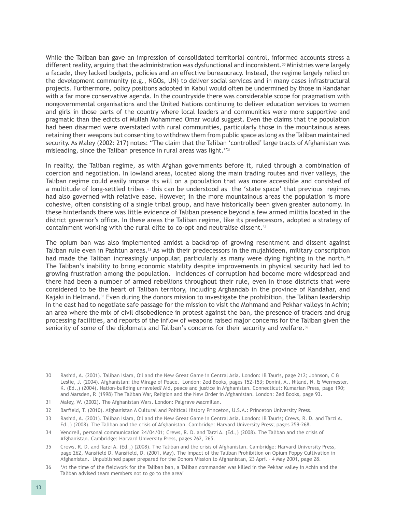While the Taliban ban gave an impression of consolidated territorial control, informed accounts stress a different reality, arguing that the administration was dysfunctional and inconsistent.<sup>30</sup> Ministries were largely a facade, they lacked budgets, policies and an effective bureaucracy. Instead, the regime largely relied on the development community (e.g., NGOs, UN) to deliver social services and in many cases infrastructural projects. Furthermore, policy positions adopted in Kabul would often be undermined by those in Kandahar with a far more conservative agenda. In the countryside there was considerable scope for pragmatism with nongovernmental organisations and the United Nations continuing to deliver education services to women and girls in those parts of the country where local leaders and communities were more supportive and pragmatic than the edicts of Mullah Mohammed Omar would suggest. Even the claims that the population had been disarmed were overstated with rural communities, particularly those in the mountainous areas retaining their weapons but consenting to withdraw them from public space as long as the Taliban maintained security. As Maley (2002: 217) notes: "The claim that the Taliban 'controlled' large tracts of Afghanistan was misleading, since the Taliban presence in rural areas was light."31

In reality, the Taliban regime, as with Afghan governments before it, ruled through a combination of coercion and negotiation. In lowland areas, located along the main trading routes and river valleys, the Taliban regime could easily impose its will on a population that was more accessible and consisted of a multitude of long-settled tribes – this can be understood as the 'state space' that previous regimes had also governed with relative ease. However, in the more mountainous areas the population is more cohesive, often consisting of a single tribal group, and have historically been given greater autonomy. In these hinterlands there was little evidence of Taliban presence beyond a few armed militia located in the district governor's office. In these areas the Taliban regime, like its predecessors, adopted a strategy of containment working with the rural elite to co-opt and neutralise dissent.<sup>32</sup>

The opium ban was also implemented amidst a backdrop of growing resentment and dissent against Taliban rule even in Pashtun areas.<sup>33</sup> As with their predecessors in the mujahideen, military conscription had made the Taliban increasingly unpopular, particularly as many were dying fighting in the north.<sup>34</sup> The Taliban's inability to bring economic stability despite improvements in physical security had led to growing frustration among the population. Incidences of corruption had become more widespread and there had been a number of armed rebellions throughout their rule, even in those districts that were considered to be the heart of Taliban territory, including Arghandab in the province of Kandahar, and Kajaki in Helmand.<sup>35</sup> Even during the donors mission to investigate the prohibition, the Taliban leadership in the east had to negotiate safe passage for the mission to visit the Mohmand and Pekhar valleys in Achin; an area where the mix of civil disobedience in protest against the ban, the presence of traders and drug processing facilities, and reports of the inflow of weapons raised major concerns for the Taliban given the seniority of some of the diplomats and Taliban's concerns for their security and welfare.<sup>36</sup>

- 31 Maley, W. (2002). The Afghanistan Wars. London: Palgrave Macmillan.
- 32 Barfield, T. (2010). Afghanistan A Cultural and Political History Princeton, U.S.A.: Princeton University Press.
- 33 Rashid, A. (2001). Taliban Islam, Oil and the New Great Game in Central Asia. London: IB Tauris; Crews, R. D. and Tarzi A. Ed.,) (2008). The Taliban and the crisis of Afghanistan. Cambridge: Harvard University Press; pages 259-268.
- 34 Vendrell, personal communication 24/04/01; Crews, R. D. and Tarzi A. (Ed.,) (2008). The Taliban and the crisis of Afghanistan. Cambridge: Harvard University Press, pages 262, 265.
- 35 Crews, R. D. and Tarzi A. (Ed.,) (2008). The Taliban and the crisis of Afghanistan. Cambridge: Harvard University Press, page 262, Mansfield D. Mansfield, D. (2001, May). The Impact of the Taliban Prohibition on Opium Poppy Cultivation in Afghanistan. Unpublished paper prepared for the Donors Mission to Afghanistan, 23 April – 4 May 2001, page 28.
- 36 'At the time of the fieldwork for the Taliban ban, a Taliban commander was killed in the Pekhar valley in Achin and the Taliban advised team members not to go to the area'

<sup>30</sup> Rashid, A. (2001). Taliban Islam, Oil and the New Great Game in Central Asia. London: IB Tauris, page 212; Johnson, C & Leslie, J. (2004). Afghanistan: the Mirage of Peace. London: Zed Books, pages 152-153; Donini, A., Niland, N. & Wermester, K. (Ed.,) (2004). Nation-building unraveled? Aid, peace and justice in Afghanistan. Connecticut: Kumarian Press, page 190; and Marsden, P. (1998) The Taliban War, Religion and the New Order in Afghanistan. London: Zed Books, page 93.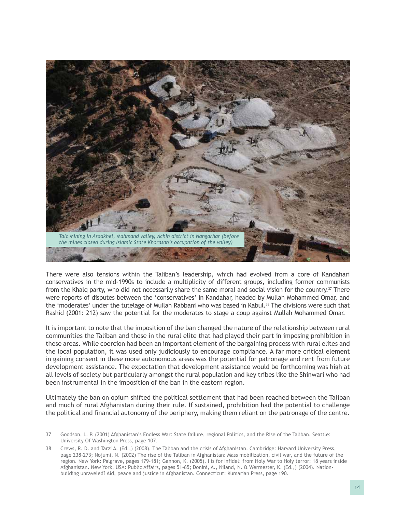

There were also tensions within the Taliban's leadership, which had evolved from a core of Kandahari conservatives in the mid-1990s to include a multiplicity of different groups, including former communists from the Khalq party, who did not necessarily share the same moral and social vision for the country.<sup>37</sup> There were reports of disputes between the 'conservatives' in Kandahar, headed by Mullah Mohammed Omar, and the 'moderates' under the tutelage of Mullah Rabbani who was based in Kabul.<sup>38</sup> The divisions were such that Rashid (2001: 212) saw the potential for the moderates to stage a coup against Mullah Mohammed Omar.

It is important to note that the imposition of the ban changed the nature of the relationship between rural communities the Taliban and those in the rural elite that had played their part in imposing prohibition in these areas. While coercion had been an important element of the bargaining process with rural elites and the local population, it was used only judiciously to encourage compliance. A far more critical element in gaining consent in these more autonomous areas was the potential for patronage and rent from future development assistance. The expectation that development assistance would be forthcoming was high at all levels of society but particularly amongst the rural population and key tribes like the Shinwari who had been instrumental in the imposition of the ban in the eastern region.

Ultimately the ban on opium shifted the political settlement that had been reached between the Taliban and much of rural Afghanistan during their rule. If sustained, prohibition had the potential to challenge the political and financial autonomy of the periphery, making them reliant on the patronage of the centre.

- 37 Goodson, L. P. (2001) Afghanistan's Endless War: State failure, regional Politics, and the Rise of the Taliban. Seattle: University Of Washington Press, page 107.
- 38 Crews, R. D. and Tarzi A. (Ed.,) (2008). The Taliban and the crisis of Afghanistan. Cambridge: Harvard University Press, page 238-273; Nojumi, N. (2002) The rise of the Taliban in Afghanistan: Mass mobilization, civil war, and the future of the region. New York: Palgrave, pages 179-181; Gannon, K. (2005). I is for Infidel: from Holy War to Holy terror: 18 years inside Afghanistan. New York, USA: Public Affairs, pages 51-65; Donini, A., Niland, N. & Wermester, K. (Ed.,) (2004). Nationbuilding unraveled? Aid, peace and justice in Afghanistan. Connecticut: Kumarian Press, page 190.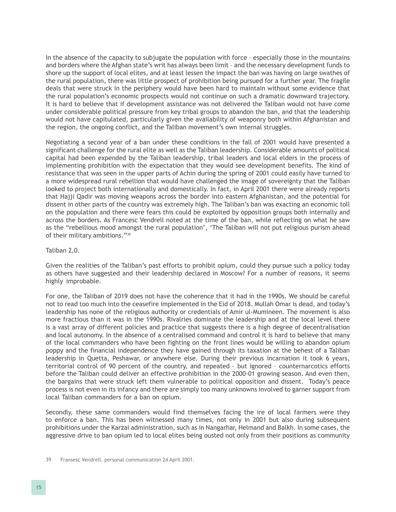In the absence of the capacity to subjugate the population with force – especially those in the mountains and borders where the Afghan state's writ has always been limit – and the necessary development funds to shore up the support of local elites, and at least lessen the impact the ban was having on large swathes of the rural population, there was little prospect of prohibition being pursued for a further year. The fragile deals that were struck in the periphery would have been hard to maintain without some evidence that the rural population's economic prospects would not continue on such a dramatic downward trajectory. It is hard to believe that if development assistance was not delivered the Taliban would not have come under considerable political pressure from key tribal groups to abandon the ban, and that the leadership would not have capitulated, particularly given the availability of weaponry both within Afghanistan and the region, the ongoing conflict, and the Taliban movement's own internal struggles.

Negotiating a second year of a ban under these conditions in the fall of 2001 would have presented a significant challenge for the rural elite as well as the Taliban leadership. Considerable amounts of political capital had been expended by the Taliban leadership, tribal leaders and local elders in the process of implementing prohibition with the expectation that they would see development benefits. The kind of resistance that was seen in the upper parts of Achin during the spring of 2001 could easily have turned to a more widespread rural rebellion that would have challenged the image of sovereignty that the Taliban looked to project both internationally and domestically. In fact, in April 2001 there were already reports that Hajji Qadir was moving weapons across the border into eastern Afghanistan, and the potential for dissent in other parts of the country was extremely high. The Taliban's ban was exacting an economic toll on the population and there were fears this could be exploited by opposition groups both internally and across the borders. As Francesc Vendrell noted at the time of the ban, while reflecting on what he saw as the "rebellious mood amongst the rural population', 'The Taliban will not put religious purism ahead of their military ambitions."39

#### Taliban 2.0.

Given the realities of the Taliban's past efforts to prohibit opium, could they pursue such a policy today as others have suggested and their leadership declared in Moscow? For a number of reasons, it seems highly improbable.

For one, the Taliban of 2019 does not have the coherence that it had in the 1990s. We should be careful not to read too much into the ceasefire implemented in the Eid of 2018. Mullah Omar is dead, and today's leadership has none of the religious authority or credentials of Amir ul-Mumineen. The movement is also more fractious than it was in the 1990s. Rivalries dominate the leadership and at the local level there is a vast array of different policies and practice that suggests there is a high degree of decentralisation and local autonomy. In the absence of a centralised command and control it is hard to believe that many of the local commanders who have been fighting on the front lines would be willing to abandon opium poppy and the financial independence they have gained through its taxation at the behest of a Taliban leadership in Quetta, Peshawar, or anywhere else. During their previous incarnation it took 6 years, territorial control of 90 percent of the country, and repeated – but ignored – counternarcotics efforts before the Taliban could deliver an effective prohibition in the 2000-01 growing season. And even then, the bargains that were struck left them vulnerable to political opposition and dissent. Today's peace process is not even in its infancy and there are simply too many unknowns involved to garner support from local Taliban commanders for a ban on opium.

Secondly, these same commanders would find themselves facing the ire of local farmers were they to enforce a ban. This has been witnessed many times, not only in 2001 but also during subsequent prohibitions under the Karzai administration, such as in Nangarhar, Helmand and Balkh. In some cases, the aggressive drive to ban opium led to local elites being ousted not only from their positions as community

<sup>39</sup> Fransesc Vendrell, personal communication 24 April 2001.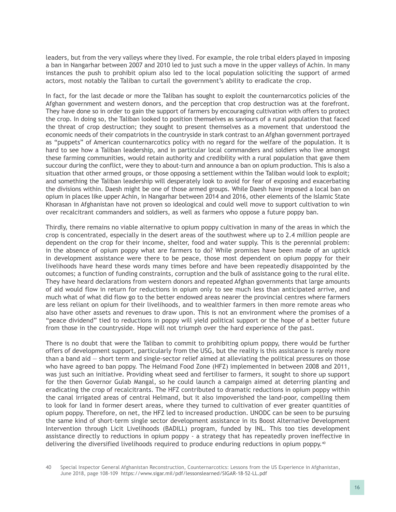leaders, but from the very valleys where they lived. For example, the role tribal elders played in imposing a ban in Nangarhar between 2007 and 2010 led to just such a move in the upper valleys of Achin. In many instances the push to prohibit opium also led to the local population soliciting the support of armed actors, most notably the Taliban to curtail the government's ability to eradicate the crop.

In fact, for the last decade or more the Taliban has sought to exploit the counternarcotics policies of the Afghan government and western donors, and the perception that crop destruction was at the forefront. They have done so in order to gain the support of farmers by encouraging cultivation with offers to protect the crop. In doing so, the Taliban looked to position themselves as saviours of a rural population that faced the threat of crop destruction; they sought to present themselves as a movement that understood the economic needs of their compatriots in the countryside in stark contrast to an Afghan government portrayed as "puppets" of American counternarcotics policy with no regard for the welfare of the population. It is hard to see how a Taliban leadership, and in particular local commanders and soldiers who live amongst these farming communities, would retain authority and credibility with a rural population that gave them succour during the conflict, were they to about-turn and announce a ban on opium production. This is also a situation that other armed groups, or those opposing a settlement within the Taliban would look to exploit; and something the Taliban leadership will desperately look to avoid for fear of exposing and exacerbating the divisions within. Daesh might be one of those armed groups. While Daesh have imposed a local ban on opium in places like upper Achin, in Nangarhar between 2014 and 2016, other elements of the Islamic State Khorasan in Afghanistan have not proven so ideological and could well move to support cultivation to win over recalcitrant commanders and soldiers, as well as farmers who oppose a future poppy ban.

Thirdly, there remains no viable alternative to opium poppy cultivation in many of the areas in which the crop is concentrated, especially in the desert areas of the southwest where up to 2.4 million people are dependent on the crop for their income, shelter, food and water supply. This is the perennial problem: in the absence of opium poppy what are farmers to do? While promises have been made of an uptick in development assistance were there to be peace, those most dependent on opium poppy for their livelihoods have heard these words many times before and have been repeatedly disappointed by the outcomes; a function of funding constraints, corruption and the bulk of assistance going to the rural elite. They have heard declarations from western donors and repeated Afghan governments that large amounts of aid would flow in return for reductions in opium only to see much less than anticipated arrive, and much what of what did flow go to the better endowed areas nearer the provincial centres where farmers are less reliant on opium for their livelihoods, and to wealthier farmers in then more remote areas who also have other assets and revenues to draw upon. This is not an environment where the promises of a "peace dividend" tied to reductions in poppy will yield political support or the hope of a better future from those in the countryside. Hope will not triumph over the hard experience of the past.

There is no doubt that were the Taliban to commit to prohibiting opium poppy, there would be further offers of development support, particularly from the USG, but the reality is this assistance is rarely more than a band aid — short term and single-sector relief aimed at alleviating the political pressures on those who have agreed to ban poppy. The Helmand Food Zone (HFZ) implemented in between 2008 and 2011, was just such an initiative. Providing wheat seed and fertiliser to farmers, it sought to shore up support for the then Governor Gulab Mangal, so he could launch a campaign aimed at deterring planting and eradicating the crop of recalcitrants. The HFZ contributed to dramatic reductions in opium poppy within the canal irrigated areas of central Helmand, but it also impoverished the land-poor, compelling them to look for land in former desert areas, where they turned to cultivation of ever greater quantities of opium poppy. Therefore, on net, the HFZ led to increased production. UNODC can be seen to be pursuing the same kind of short-term single sector development assistance in its Boost Alternative Development Intervention through Licit Livelihoods (BADILL) program, funded by INL. This too ties development assistance directly to reductions in opium poppy - a strategy that has repeatedly proven ineffective in delivering the diversified livelihoods required to produce enduring reductions in opium poppy.<sup>40</sup>

<sup>40</sup> Special Inspector General Afghanistan Reconstruction, Counternarcotics: Lessons from the US Experience in Afghanistan, June 2018, page 108-109 <https://www.sigar.mil/pdf/lessonslearned/SIGAR-18-52-LL.pdf>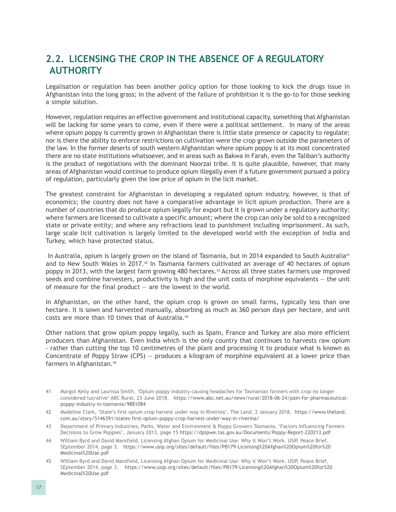### <span id="page-25-0"></span>**2.2. LICENSING THE CROP IN THE ABSENCE OF A REGULATORY AUTHORITY**

Legalisation or regulation has been another policy option for those looking to kick the drugs issue in Afghanistan into the long grass; in the advent of the failure of prohibition it is the go-to for those seeking a simple solution.

However, regulation requires an effective government and institutional capacity, something that Afghanistan will be lacking for some years to come, even if there were a political settlement. In many of the areas where opium poppy is currently grown in Afghanistan there is little state presence or capacity to regulate; nor is there the ability to enforce restrictions on cultivation were the crop grown outside the parameters of the law. In the former deserts of south western Afghanistan where opium poppy is at its most concentrated there are no state institutions whatsoever, and in areas such as Bakwa in Farah, even the Taliban's authority is the product of negotiations with the dominant Noorzai tribe. It is quite plausible, however, that many areas of Afghanistan would continue to produce opium illegally even if a future government pursued a policy of regulation, particularly given the low price of opium in the licit market.

The greatest constraint for Afghanistan in developing a regulated opium industry, however, is that of economics; the country does not have a comparative advantage in licit opium production. There are a number of countries that do produce opium legally for export but it is grown under a regulatory authority: where farmers are licensed to cultivate a specific amount; where the crop can only be sold to a recognized state or private entity; and where any refractions lead to punishment including imprisonment. As such, large scale licit cultivation is largely limited to the developed world with the exception of India and Turkey, which have protected status.

In Australia, opium is largely grown on the island of Tasmania, but in 2014 expanded to South Australia<sup>41</sup> and to New South Wales in 2017.<sup>42</sup> In Tasmania farmers cultivated an average of 40 hectares of opium poppy in 2013, with the largest farm growing 480 hectares.43 Across all three states farmers use improved seeds and combine harvesters, productivity is high and the unit costs of morphine equivalents  $-$  the unit of measure for the final product  $-$  are the lowest in the world.

In Afghanistan, on the other hand, the opium crop is grown on small farms, typically less than one hectare. It is sown and harvested manually, absorbing as much as 360 person days per hectare, and unit costs are more than 10 times that of Australia.<sup>44</sup>

Other nations that grow opium poppy legally, such as Spain, France and Turkey are also more efficient producers than Afghanistan. Even India which is the only country that continues to harvests raw opium - rather than cutting the top 10 centimetres of the plant and processing it to produce what is known as Concentrate of Poppy Straw (CPS) — produces a kilogram of morphine equivalent at a lower price than farmers in Afghanistan.45

- 41 Margot Kelly and Laurissa Smith, 'Opium poppy industry causing headaches for Tasmanian farmers with crop no longer considered lucrative' ABC Rural, 23 June 2018, [https://www.abc.net.au/news/rural/2018-06-24/pain-for-pharmaceutical](https://www.abc.net.au/news/rural/2018-06-24/pain-for-pharmaceutical-poppy-industry-in-tasmania/9881084)[poppy-industry-in-tasmania/9881084](https://www.abc.net.au/news/rural/2018-06-24/pain-for-pharmaceutical-poppy-industry-in-tasmania/9881084)
- 42 Madeline Clark, 'State's first opium crop harvest under way in Riverina', The Land, 2 January 2018, [https://www.theland.](https://www.theland.com.au/story/5146391/states-first-opium-poppy-crop-harvest-under-way-in-riverina/) [com.au/story/5146391/states-first-opium-poppy-crop-harvest-under-way-in-riverina/](https://www.theland.com.au/story/5146391/states-first-opium-poppy-crop-harvest-under-way-in-riverina/)
- 43 Department of Primary Industries, Parks, Water and Environment & Poppy Growers Tasmania, 'Factors Influencing Farmers Decisions to Grow Poppies', January 2013, page 15<https://dpipwe.tas.gov.au/Documents/Poppy-Report-220213.pdf>
- 44 William Byrd and David Mansfield, Licensing Afghan Opium for Medicinal Use: Why it Won't Work. USIP, Peace Brief, SEptember 2014, page 3. [https://www.usip.org/sites/default/files/PB179-Licensing%20Afghan%20Opium%20for%20](https://www.usip.org/sites/default/files/PB179-Licensing%20Afghan%20Opium%20for%20Medicinal%20Use.pdf) [Medicinal%20Use.pdf](https://www.usip.org/sites/default/files/PB179-Licensing%20Afghan%20Opium%20for%20Medicinal%20Use.pdf)
- 45 William Byrd and David Mansfield, Licensing Afghan Opium for Medicinal Use: Why it Won't Work. USIP, Peace Brief, SEptember 2014, page 3. [https://www.usip.org/sites/default/files/PB179-Licensing%20Afghan%20Opium%20for%20](https://www.usip.org/sites/default/files/PB179-Licensing%20Afghan%20Opium%20for%20Medicinal%20Use.pdf) [Medicinal%20Use.pdf](https://www.usip.org/sites/default/files/PB179-Licensing%20Afghan%20Opium%20for%20Medicinal%20Use.pdf)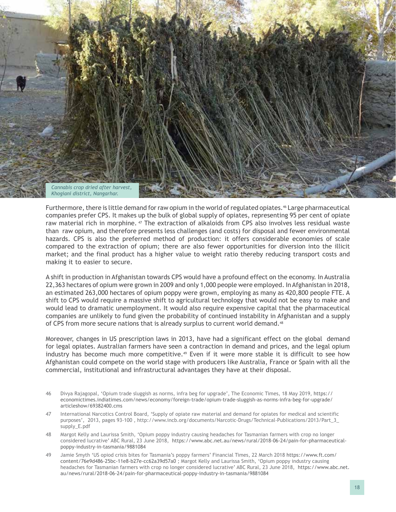

Furthermore, there is little demand for raw opium in the world of regulated opiates.46 Large pharmaceutical companies prefer CPS. It makes up the bulk of global supply of opiates, representing 95 per cent of opiate raw material rich in morphine. <sup>47</sup> The extraction of alkaloids from CPS also involves less residual waste than raw opium, and therefore presents less challenges (and costs) for disposal and fewer environmental hazards. CPS is also the preferred method of production: it offers considerable economies of scale compared to the extraction of opium; there are also fewer opportunities for diversion into the illicit market; and the final product has a higher value to weight ratio thereby reducing transport costs and making it to easier to secure.

A shift in production in Afghanistan towards CPS would have a profound effect on the economy. In Australia 22,363 hectares of opium were grown in 2009 and only 1,000 people were employed. In Afghanistan in 2018, an estimated 263,000 hectares of opium poppy were grown, employing as many as 420,800 people FTE. A shift to CPS would require a massive shift to agricultural technology that would not be easy to make and would lead to dramatic unemployment. It would also require expensive capital that the pharmaceutical companies are unlikely to fund given the probability of continued instability in Afghanistan and a supply of CPS from more secure nations that is already surplus to current world demand.<sup>48</sup>

Moreover, changes in US prescription laws in 2013, have had a significant effect on the global demand for legal opiates. Australian farmers have seen a contraction in demand and prices, and the legal opium industry has become much more competitive.<sup>49</sup> Even if it were more stable it is difficult to see how Afghanistan could compete on the world stage with producers like Australia, France or Spain with all the commercial, institutional and infrastructural advantages they have at their disposal.

- 46 Divya Rajagopal, 'Opium trade sluggish as norms, infra beg for upgrade', The Economic Times, 18 May 2019, [https://](https://economictimes.indiatimes.com/news/economy/foreign-trade/opium-trade-sluggish-as-norms-infra-beg-for-upgrade/articleshow/69382400.cms) [economictimes.indiatimes.com/news/economy/foreign-trade/opium-trade-sluggish-as-norms-infra-beg-for-upgrade/](https://economictimes.indiatimes.com/news/economy/foreign-trade/opium-trade-sluggish-as-norms-infra-beg-for-upgrade/articleshow/69382400.cms) [articleshow/69382400.cms](https://economictimes.indiatimes.com/news/economy/foreign-trade/opium-trade-sluggish-as-norms-infra-beg-for-upgrade/articleshow/69382400.cms)
- 47 International Narcotics Control Board, 'Supply of opiate raw material and demand for opiates for medical and scientific purposes', 2013, pages 93-100 , http://www.incb.org/documents/Narcotic-Drugs/Technical-Publications/2013/Part\_3\_ supply\_E.pdf
- 48 Margot Kelly and Laurissa Smith, 'Opium poppy industry causing headaches for Tasmanian farmers with crop no longer considered lucrative' ABC Rural, 23 June 2018, [https://www.abc.net.au/news/rural/2018-06-24/pain-for-pharmaceutical](https://www.abc.net.au/news/rural/2018-06-24/pain-for-pharmaceutical-poppy-industry-in-tasmania/9881084)[poppy-industry-in-tasmania/9881084](https://www.abc.net.au/news/rural/2018-06-24/pain-for-pharmaceutical-poppy-industry-in-tasmania/9881084)
- 49 Jamie Smyth 'US opiod crisis bites for Tasmania's poppy farmers' Financial Times, 22 March 2018 [https://www.ft.com/](https://www.ft.com/content/76e9d486-25bc-11e8-b27e-cc62a39d57a0) [content/76e9d486-25bc-11e8-b27e-cc62a39d57a0](https://www.ft.com/content/76e9d486-25bc-11e8-b27e-cc62a39d57a0) ; Margot Kelly and Laurissa Smith, 'Opium poppy industry causing headaches for Tasmanian farmers with crop no longer considered lucrative' ABC Rural, 23 June 2018, [https://www.abc.net.](https://www.abc.net.au/news/rural/2018-06-24/pain-for-pharmaceutical-poppy-industry-in-tasmania/9881084) [au/news/rural/2018-06-24/pain-for-pharmaceutical-poppy-industry-in-tasmania/9881084](https://www.abc.net.au/news/rural/2018-06-24/pain-for-pharmaceutical-poppy-industry-in-tasmania/9881084)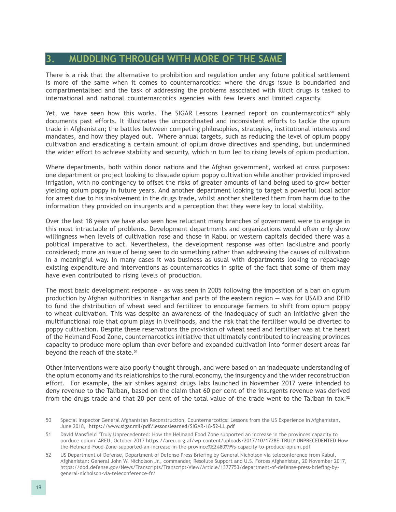#### <span id="page-27-0"></span>**3. MUDDLING THROUGH WITH MORE OF THE SAME**

There is a risk that the alternative to prohibition and regulation under any future political settlement is more of the same when it comes to counternarcotics: where the drugs issue is boundaried and compartmentalised and the task of addressing the problems associated with illicit drugs is tasked to international and national counternarcotics agencies with few levers and limited capacity.

Yet, we have seen how this works. The SIGAR Lessons Learned report on counternarcotics<sup>50</sup> ably documents past efforts. It illustrates the uncoordinated and inconsistent efforts to tackle the opium trade in Afghanistan; the battles between competing philosophies, strategies, institutional interests and mandates, and how they played out. Where annual targets, such as reducing the level of opium poppy cultivation and eradicating a certain amount of opium drove directives and spending, but undermined the wider effort to achieve stability and security, which in turn led to rising levels of opium production.

Where departments, both within donor nations and the Afghan government, worked at cross purposes: one department or project looking to dissuade opium poppy cultivation while another provided improved irrigation, with no contingency to offset the risks of greater amounts of land being used to grow better yielding opium poppy in future years. And another department looking to target a powerful local actor for arrest due to his involvement in the drugs trade, whilst another sheltered them from harm due to the information they provided on insurgents and a perception that they were key to local stability.

Over the last 18 years we have also seen how reluctant many branches of government were to engage in this most intractable of problems. Development departments and organizations would often only show willingness when levels of cultivation rose and those in Kabul or western capitals decided there was a political imperative to act. Nevertheless, the development response was often lacklustre and poorly considered; more an issue of being seen to do something rather than addressing the causes of cultivation in a meaningful way. In many cases it was business as usual with departments looking to repackage existing expenditure and interventions as counternarcotics in spite of the fact that some of them may have even contributed to rising levels of production.

The most basic development response - as was seen in 2005 following the imposition of a ban on opium production by Afghan authorities in Nangarhar and parts of the eastern region — was for USAID and DFID to fund the distribution of wheat seed and fertilizer to encourage farmers to shift from opium poppy to wheat cultivation. This was despite an awareness of the inadequacy of such an initiative given the multifunctional role that opium plays in livelihoods, and the risk that the fertiliser would be diverted to poppy cultivation. Despite these reservations the provision of wheat seed and fertiliser was at the heart of the Helmand Food Zone, counternarcotics initiative that ultimately contributed to increasing provinces capacity to produce more opium than ever before and expanded cultivation into former desert areas far beyond the reach of the state.<sup>51</sup>

Other interventions were also poorly thought through, and were based on an inadequate understanding of the opium economy and its relationships to the rural economy, the insurgency and the wider reconstruction effort. For example, the air strikes against drugs labs launched in November 2017 were intended to deny revenue to the Taliban, based on the claim that 60 per cent of the insurgents revenue was derived from the drugs trade and that 20 per cent of the total value of the trade went to the Taliban in tax.<sup>52</sup>

<sup>50</sup> Special Inspector General Afghanistan Reconstruction, Counternarcotics: Lessons from the US Experience in Afghanistan, June 2018, <https://www.sigar.mil/pdf/lessonslearned/SIGAR-18-52-LL.pdf>

<sup>51</sup> David Mansfield 'Truly Unprecedented: How the Helmand Food Zone supported an increase in the provinces capacity to porduce opium' AREU, October 2017 [https://areu.org.af/wp-content/uploads/2017/10/1728E-TRULY-UNPRECEDENTED-How](https://areu.org.af/wp-content/uploads/2017/10/1728E-TRULY-UNPRECEDENTED-How-the-Helmand-Food-Zone-supported-an-increase-in-the-province%E2%80%99s-capacity-to-produce-opium.pdf)[the-Helmand-Food-Zone-supported-an-increase-in-the-province%E2%80%99s-capacity-to-produce-opium.pdf](https://areu.org.af/wp-content/uploads/2017/10/1728E-TRULY-UNPRECEDENTED-How-the-Helmand-Food-Zone-supported-an-increase-in-the-province%E2%80%99s-capacity-to-produce-opium.pdf)

<sup>52</sup> US Department of Defense, Department of Defense Press Briefing by General Nicholson via teleconference from Kabul, Afghanistan: General John W. Nicholson Jr., commander, Resolute Support and U.S. Forces Afghanistan, 20 November 2017, https://dod.defense.gov/News/Transcripts/Transcript-View/Article/1377753/department-of-defense-press-briefing-bygeneral-nicholson-via-teleconference-fr/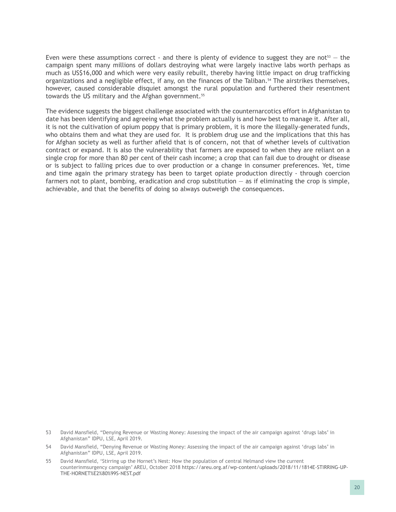Even were these assumptions correct - and there is plenty of evidence to suggest they are not<sup>53</sup> – the campaign spent many millions of dollars destroying what were largely inactive labs worth perhaps as much as US\$16,000 and which were very easily rebuilt, thereby having little impact on drug trafficking organizations and a negligible effect, if any, on the finances of the Taliban.<sup>54</sup> The airstrikes themselves, however, caused considerable disquiet amongst the rural population and furthered their resentment towards the US military and the Afghan government.<sup>55</sup>

The evidence suggests the biggest challenge associated with the counternarcotics effort in Afghanistan to date has been identifying and agreeing what the problem actually is and how best to manage it. After all, it is not the cultivation of opium poppy that is primary problem, it is more the illegally-generated funds, who obtains them and what they are used for. It is problem drug use and the implications that this has for Afghan society as well as further afield that is of concern, not that of whether levels of cultivation contract or expand. It is also the vulnerability that farmers are exposed to when they are reliant on a single crop for more than 80 per cent of their cash income; a crop that can fail due to drought or disease or is subject to falling prices due to over production or a change in consumer preferences. Yet, time and time again the primary strategy has been to target opiate production directly - through coercion farmers not to plant, bombing, eradication and crop substitution  $-$  as if eliminating the crop is simple, achievable, and that the benefits of doing so always outweigh the consequences.

<sup>53</sup> David Mansfield, "Denying Revenue or Wasting Money: Assessing the impact of the air campaign against 'drugs labs' in Afghanistan" IDPU, LSE, April 2019.

<sup>54</sup> David Mansfield, "Denying Revenue or Wasting Money: Assessing the impact of the air campaign against 'drugs labs' in Afghanistan" IDPU, LSE, April 2019.

<sup>55</sup> David Mansfield, 'Stirring up the Hornet's Nest: How the population of central Helmand view the current counterinmsurgency campaign' AREU, October 2018 [https://areu.org.af/wp-content/uploads/2018/11/1814E-STIRRING-UP-](https://areu.org.af/wp-content/uploads/2018/11/1814E-STIRRING-UP-THE-HORNET%E2%80%99S-NEST.pdf)[THE-HORNET%E2%80%99S-NEST.pdf](https://areu.org.af/wp-content/uploads/2018/11/1814E-STIRRING-UP-THE-HORNET%E2%80%99S-NEST.pdf)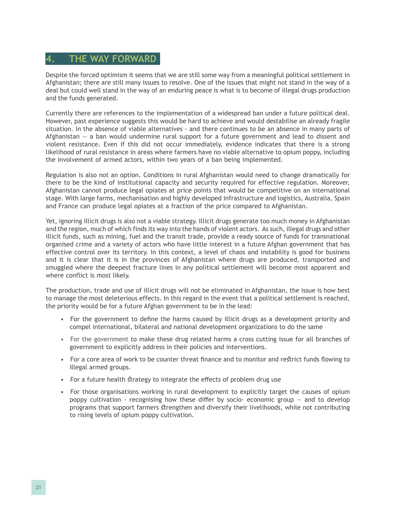#### <span id="page-29-0"></span>**4. THE WAY FORWARD**

Despite the forced optimism it seems that we are still some way from a meaningful political settlement in Afghanistan; there are still many issues to resolve. One of the issues that might not stand in the way of a deal but could well stand in the way of an enduring peace is what is to become of illegal drugs production and the funds generated.

Currently there are references to the implementation of a widespread ban under a future political deal. However, past experience suggests this would be hard to achieve and would destabilise an already fragile situation. In the absence of viable alternatives - and there continues to be an absence in many parts of Afghanistan — a ban would undermine rural support for a future government and lead to dissent and violent resistance. Even if this did not occur immediately, evidence indicates that there is a strong likelihood of rural resistance in areas where farmers have no viable alternative to opium poppy, including the involvement of armed actors, within two years of a ban being implemented.

Regulation is also not an option. Conditions in rural Afghanistan would need to change dramatically for there to be the kind of institutional capacity and security required for effective regulation. Moreover, Afghanistan cannot produce legal opiates at price points that would be competitive on an international stage. With large farms, mechanisation and highly developed infrastructure and logistics, Australia, Spain and France can produce legal opiates at a fraction of the price compared to Afghanistan.

Yet, ignoring illicit drugs is also not a viable strategy. Illicit drugs generate too much money in Afghanistan and the region, much of which finds its way into the hands of violent actors. As such, illegal drugs and other illicit funds, such as mining, fuel and the transit trade, provide a ready source of funds for transnational organised crime and a variety of actors who have little interest in a future Afghan government that has effective control over its territory. In this context, a level of chaos and instability is good for business and it is clear that it is in the provinces of Afghanistan where drugs are produced, transported and smuggled where the deepest fracture lines in any political settlement will become most apparent and where conflict is most likely.

The production, trade and use of illicit drugs will not be eliminated in Afghanistan, the issue is how best to manage the most deleterious effects. In this regard in the event that a political settlement is reached, the priority would be for a future Afghan government to be in the lead:

- For the government to define the harms caused by illicit drugs as a development priority and compel international, bilateral and national development organizations to do the same
- For the government to make these drug related harms a cross cutting issue for all branches of government to explicitly address in their policies and interventions.
- For a core area of work to be counter threat finance and to monitor and restrict funds flowing to illegal armed groups.
- For a future health strategy to integrate the effects of problem drug use
- For those organisations working in rural development to explicitly target the causes of opium poppy cultivation - recognising how these differ by socio- economic group — and to develop programs that support farmers strengthen and diversify their livelihoods, while not contributing to rising levels of opium poppy cultivation.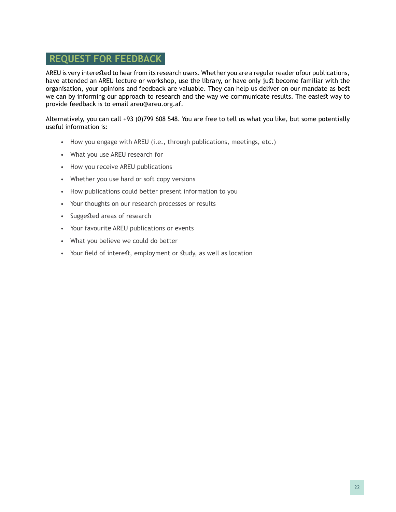#### **REQUEST FOR FEEDBACK**

AREU is very interested to hear from its research users. Whether you are a regular reader ofour publications, have attended an AREU lecture or workshop, use the library, or have only just become familiar with the organisation, your opinions and feedback are valuable. They can help us deliver on our mandate as best we can by informing our approach to research and the way we communicate results. The easiest way to provide feedback is to email areu@areu.org.af.

Alternatively, you can call +93 (0)799 608 548. You are free to tell us what you like, but some potentially useful information is:

- How you engage with AREU (i.e., through publications, meetings, etc.)
- What you use AREU research for
- How you receive AREU publications
- Whether you use hard or soft copy versions
- How publications could better present information to you
- Your thoughts on our research processes or results
- Suggested areas of research
- Your favourite AREU publications or events
- What you believe we could do better
- Your field of interest, employment or study, as well as location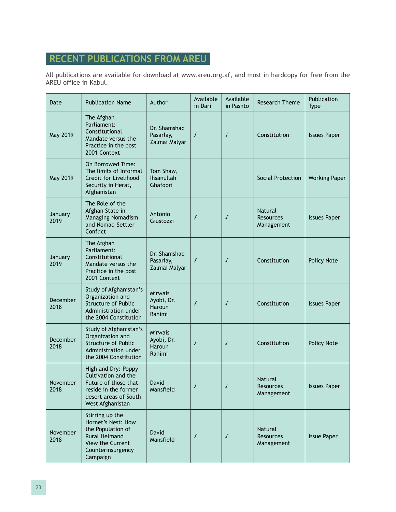## **RECENT PUBLICATIONS FROM AREU**

All publications are available for download at www.areu.org.af, and most in hardcopy for free from the AREU office in Kabul.

| Date                    | <b>Publication Name</b>                                                                                                                 | Author                                           | Available<br>in Dari | Available<br>in Pashto | <b>Research Theme</b>                            | Publication<br><b>Type</b> |
|-------------------------|-----------------------------------------------------------------------------------------------------------------------------------------|--------------------------------------------------|----------------------|------------------------|--------------------------------------------------|----------------------------|
| May 2019                | The Afghan<br>Parliament:<br>Constitutional<br>Mandate versus the<br>Practice in the post<br>2001 Context                               | Dr. Shamshad<br>Pasarlay,<br>Zalmai Malyar       | $\sqrt{ }$           | Г                      | Constitution                                     | <b>Issues Paper</b>        |
| May 2019                | On Borrowed Time:<br>The limits of Informal<br>Credit for Livelihood<br>Security in Herat,<br>Afghanistan                               | Tom Shaw,<br>Ihsanullah<br>Ghafoori              |                      |                        | Social Protection                                | <b>Working Paper</b>       |
| January<br>2019         | The Role of the<br>Afghan State in<br>Managing Nomadism<br>and Nomad-Settler<br>Conflict                                                | Antonio<br>Giustozzi                             | $\sqrt{ }$           | Г                      | Natural<br><b>Resources</b><br>Management        | <b>Issues Paper</b>        |
| January<br>2019         | The Afghan<br>Parliament:<br>Constitutional<br>Mandate versus the<br>Practice in the post<br>2001 Context                               | Dr. Shamshad<br>Pasarlay,<br>Zalmai Malyar       | $\sqrt{ }$           | $\sqrt{ }$             | Constitution                                     | <b>Policy Note</b>         |
| <b>December</b><br>2018 | Study of Afghanistan's<br>Organization and<br><b>Structure of Public</b><br>Administration under<br>the 2004 Constitution               | <b>Mirwais</b><br>Ayobi, Dr.<br>Haroun<br>Rahimi | $\sqrt$              | $\sqrt{ }$             | Constitution                                     | <b>Issues Paper</b>        |
| December<br>2018        | Study of Afghanistan's<br>Organization and<br><b>Structure of Public</b><br>Administration under<br>the 2004 Constitution               | <b>Mirwais</b><br>Ayobi, Dr.<br>Haroun<br>Rahimi | Г                    | Г                      | Constitution                                     | Policy Note                |
| <b>November</b><br>2018 | High and Dry: Poppy<br>Cultivation and the<br>Future of those that<br>reside in the former<br>desert areas of South<br>West Afghanistan | l David<br>Mansfield                             |                      |                        | <b>Natural</b><br><b>Resources</b><br>Management | <b>Issues Paper</b>        |
| November<br>2018        | Stirring up the<br>Hornet's Nest: How<br>the Population of<br><b>Rural Helmand</b><br>View the Current<br>Counterinsurgency<br>Campaign | David<br>Mansfield                               | ſ                    | Г                      | <b>Natural</b><br><b>Resources</b><br>Management | <b>Issue Paper</b>         |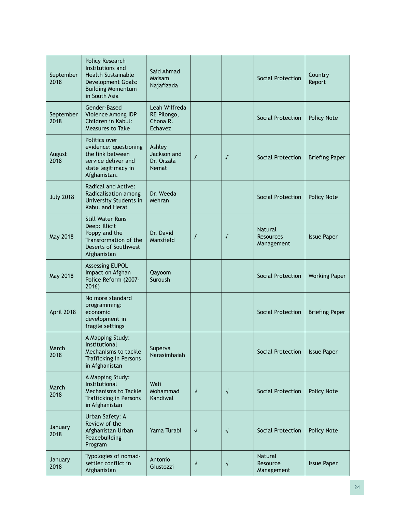| September<br>2018 | Policy Research<br>Institutions and<br><b>Health Sustainable</b><br>Development Goals:<br><b>Building Momentum</b><br>in South Asia | Said Ahmad<br>Maisam<br>Najafizada                  |            |            | Social Protection                                | Country<br>Report     |
|-------------------|-------------------------------------------------------------------------------------------------------------------------------------|-----------------------------------------------------|------------|------------|--------------------------------------------------|-----------------------|
| September<br>2018 | Gender-Based<br>Violence Among IDP<br>Children in Kabul:<br>Measures to Take                                                        | Leah Wilfreda<br>RE Pilongo,<br>Chona R.<br>Echavez |            |            | Social Protection                                | Policy Note           |
| August<br>2018    | Politics over<br>evidence: questioning<br>the link between<br>service deliver and<br>state legitimacy in<br>Afghanistan.            | Ashley<br>Jackson and<br>Dr. Orzala<br><b>Nemat</b> | $\sqrt{ }$ | $\sqrt{ }$ | Social Protection                                | <b>Briefing Paper</b> |
| <b>July 2018</b>  | Radical and Active:<br>Radicalisation among<br>University Students in<br>Kabul and Herat                                            | Dr. Weeda<br>Mehran                                 |            |            | Social Protection                                | Policy Note           |
| May 2018          | <b>Still Water Runs</b><br>Deep: Illicit<br>Poppy and the<br>Transformation of the<br>Deserts of Southwest<br>Afghanistan           | Dr. David<br>Mansfield                              | $\sqrt{ }$ | $\sqrt{ }$ | <b>Natural</b><br><b>Resources</b><br>Management | <b>Issue Paper</b>    |
| May 2018          | <b>Assessing EUPOL</b><br>Impact on Afghan<br>Police Reform (2007-<br>2016)                                                         | Qayoom<br>Suroush                                   |            |            | Social Protection                                | <b>Working Paper</b>  |
| April 2018        | No more standard<br>programming:<br>economic<br>development in<br>fragile settings                                                  |                                                     |            |            | Social Protection                                | <b>Briefing Paper</b> |
| March<br>2018     | A Mapping Study:<br>Institutional<br>Mechanisms to tackle<br>Trafficking in Persons<br>in Afghanistan                               | Superva<br>Narasimhaiah                             |            |            | Social Protection                                | <b>Issue Paper</b>    |
| March<br>2018     | A Mapping Study:<br>Institutional<br>Mechanisms to Tackle<br>Trafficking in Persons<br>in Afghanistan                               | Wali<br>Mohammad<br>Kandiwal                        | $\sqrt{ }$ | $\sqrt{}$  | Social Protection                                | <b>Policy Note</b>    |
| January<br>2018   | Urban Safety: A<br>Review of the<br>Afghanistan Urban<br>Peacebuilding<br>Program                                                   | Yama Turabi                                         | $\sqrt{ }$ | $\sqrt{}$  | Social Protection                                | <b>Policy Note</b>    |
| January<br>2018   | Typologies of nomad-<br>settler conflict in<br>Afghanistan                                                                          | Antonio<br>Giustozzi                                | $\sqrt{}$  | $\sqrt{}$  | Natural<br>Resource<br>Management                | <b>Issue Paper</b>    |